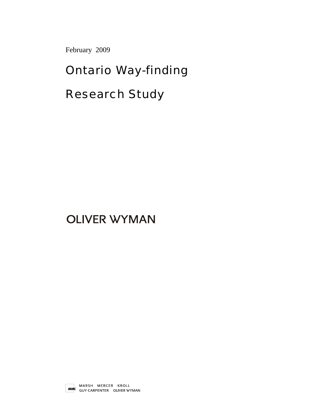February 2009

# Ontario Way-finding

# Research Study

# **OLIVER WYMAN**

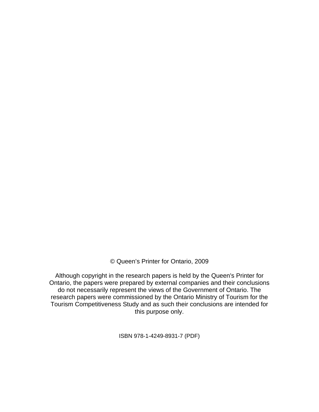© Queen's Printer for Ontario, 2009

Although copyright in the research papers is held by the Queen's Printer for Ontario, the papers were prepared by external companies and their conclusions do not necessarily represent the views of the Government of Ontario. The research papers were commissioned by the Ontario Ministry of Tourism for the Tourism Competitiveness Study and as such their conclusions are intended for this purpose only.

ISBN 978-1-4249-8931-7 (PDF)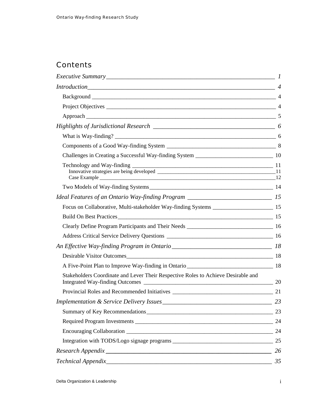# **Contents**

| $Introduction$ 4                                                                     |    |
|--------------------------------------------------------------------------------------|----|
|                                                                                      |    |
|                                                                                      |    |
|                                                                                      |    |
|                                                                                      |    |
|                                                                                      |    |
|                                                                                      |    |
|                                                                                      |    |
|                                                                                      |    |
|                                                                                      |    |
| Ideal Features of an Ontario Way-finding Program ________________________________ 15 |    |
|                                                                                      |    |
|                                                                                      |    |
|                                                                                      |    |
|                                                                                      |    |
|                                                                                      |    |
|                                                                                      |    |
|                                                                                      |    |
| Stakeholders Coordinate and Lever Their Respective Roles to Achieve Desirable and    |    |
|                                                                                      |    |
|                                                                                      |    |
|                                                                                      |    |
|                                                                                      | 24 |
|                                                                                      | 24 |
|                                                                                      |    |
|                                                                                      | 26 |
|                                                                                      | 35 |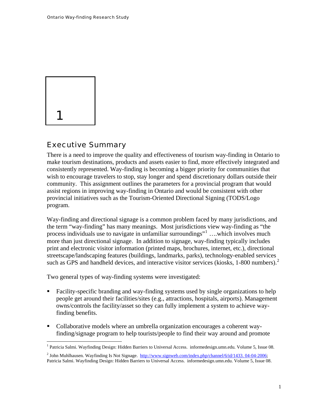<span id="page-3-0"></span>

# Executive Summary

There is a need to improve the quality and effectiveness of tourism way-finding in Ontario to make tourism destinations, products and assets easier to find, more effectively integrated and consistently represented. Way-finding is becoming a bigger priority for communities that wish to encourage travelers to stop, stay longer and spend discretionary dollars outside their community. This assignment outlines the parameters for a provincial program that would assist regions in improving way-finding in Ontario and would be consistent with other provincial initiatives such as the Tourism-Oriented Directional Signing (TODS/Logo program.

Way-finding and directional signage is a common problem faced by many jurisdictions, and the term "way-finding" has many meanings. Most jurisdictions view way-finding as "the process individuals use to navigate in unfamiliar surroundings"<sup>[1](#page-3-1)</sup> ... which involves much more than just directional signage. In addition to signage, way-finding typically includes print and electronic visitor information (printed maps, brochures, internet, etc.), directional streetscape/landscaping features (buildings, landmarks, parks), technology-enabled services such as GPS and handheld devices, and interactive visitor services (kiosks, 1-800 numbers).<sup>[2](#page-3-2)</sup>

Two general types of way-finding systems were investigated:

- **Facility-specific branding and way-finding systems used by single organizations to help** people get around their facilities/sites (e.g., attractions, hospitals, airports). Management owns/controls the facility/asset so they can fully implement a system to achieve wayfinding benefits.
- Collaborative models where an umbrella organization encourages a coherent wayfinding/signage program to help tourists/people to find their way around and promote

<sup>1&</sup>lt;br><sup>1</sup> Patricia Salmi. Wayfinding Design: Hidden Barriers to Universal Access. informedesign.umn.edu. Volume 5, Issue 08.

<span id="page-3-2"></span><span id="page-3-1"></span><sup>&</sup>lt;sup>2</sup> John Muhlhausen. Wayfinding Is Not Signage. [http://www.signweb.com/index.php/channel/6/id/1433. 04-04-2006](http://www.signweb.com/index.php/channel/6/id/1433.%2004-04-2006); Patricia Salmi. Wayfinding Design: Hidden Barriers to Universal Access. informedesign.umn.edu. Volume 5, Issue 08.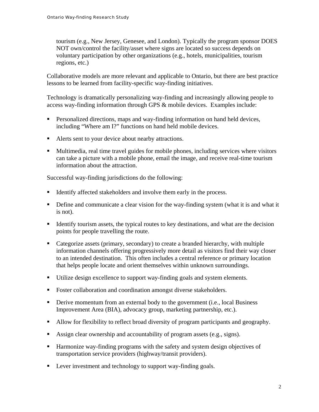tourism (e.g., New Jersey, Genesee, and London). Typically the program sponsor DOES NOT own/control the facility/asset where signs are located so success depends on voluntary participation by other organizations (e.g., hotels, municipalities, tourism regions, etc.)

Collaborative models are more relevant and applicable to Ontario, but there are best practice lessons to be learned from facility-specific way-finding initiatives.

Technology is dramatically personalizing way-finding and increasingly allowing people to access way-finding information through GPS & mobile devices. Examples include:

- **Personalized directions, maps and way-finding information on hand held devices,** including "Where am I?" functions on hand held mobile devices.
- Alerts sent to your device about nearby attractions.
- Multimedia, real time travel guides for mobile phones, including services where visitors can take a picture with a mobile phone, email the image, and receive real-time tourism information about the attraction.

Successful way-finding jurisdictions do the following:

- Identify affected stakeholders and involve them early in the process.
- Define and communicate a clear vision for the way-finding system (what it is and what it is not).
- Identify tourism assets, the typical routes to key destinations, and what are the decision points for people travelling the route.
- Categorize assets (primary, secondary) to create a branded hierarchy, with multiple information channels offering progressively more detail as visitors find their way closer to an intended destination. This often includes a central reference or primary location that helps people locate and orient themselves within unknown surroundings.
- Utilize design excellence to support way-finding goals and system elements.
- Foster collaboration and coordination amongst diverse stakeholders.
- Derive momentum from an external body to the government (i.e., local Business Improvement Area (BIA), advocacy group, marketing partnership, etc.).
- Allow for flexibility to reflect broad diversity of program participants and geography.
- Assign clear ownership and accountability of program assets (e.g., signs).
- Harmonize way-finding programs with the safety and system design objectives of transportation service providers (highway/transit providers).
- **Lever investment and technology to support way-finding goals.**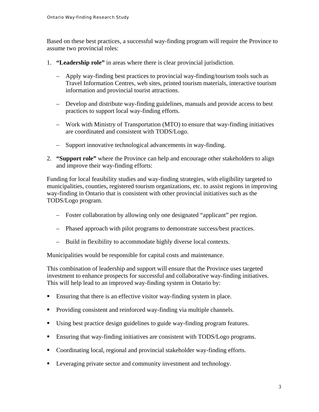Based on these best practices, a successful way-finding program will require the Province to assume two provincial roles:

- 1. **"Leadership role"** in areas where there is clear provincial jurisdiction.
	- Apply way-finding best practices to provincial way-finding/tourism tools such as Travel Information Centres, web sites, printed tourism materials, interactive tourism information and provincial tourist attractions.
	- Develop and distribute way-finding guidelines, manuals and provide access to best practices to support local way-finding efforts.
	- Work with Ministry of Transportation (MTO) to ensure that way-finding initiatives are coordinated and consistent with TODS/Logo.
	- Support innovative technological advancements in way-finding.
- 2. **"Support role"** where the Province can help and encourage other stakeholders to align and improve their way-finding efforts:

Funding for local feasibility studies and way-finding strategies, with eligibility targeted to municipalities, counties, registered tourism organizations, etc. to assist regions in improving way-finding in Ontario that is consistent with other provincial initiatives such as the TODS/Logo program.

- Foster collaboration by allowing only one designated "applicant" per region.
- Phased approach with pilot programs to demonstrate success/best practices.
- Build in flexibility to accommodate highly diverse local contexts.

Municipalities would be responsible for capital costs and maintenance.

This combination of leadership and support will ensure that the Province uses targeted investment to enhance prospects for successful and collaborative way-finding initiatives. This will help lead to an improved way-finding system in Ontario by:

- Ensuring that there is an effective visitor way-finding system in place.
- **Providing consistent and reinforced way-finding via multiple channels.**
- Using best practice design guidelines to guide way-finding program features.
- Ensuring that way-finding initiatives are consistent with TODS/Logo programs.
- Coordinating local, regional and provincial stakeholder way-finding efforts.
- **EXECUTE:** Leveraging private sector and community investment and technology.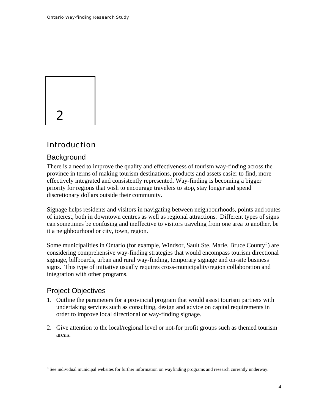<span id="page-6-0"></span>

# Introduction

#### **Background**

There is a need to improve the quality and effectiveness of tourism way-finding across the province in terms of making tourism destinations, products and assets easier to find, more effectively integrated and consistently represented. Way-finding is becoming a bigger priority for regions that wish to encourage travelers to stop, stay longer and spend discretionary dollars outside their community.

Signage helps residents and visitors in navigating between neighbourhoods, points and routes of interest, both in downtown centres as well as regional attractions. Different types of signs can sometimes be confusing and ineffective to visitors traveling from one area to another, be it a neighbourhood or city, town, region.

Some municipalities in Ontario (for example, Windsor, Sault Ste. Marie, Bruce County<sup>[3](#page-6-1)</sup>) are considering comprehensive way-finding strategies that would encompass tourism directional signage, billboards, urban and rural way-finding, temporary signage and on-site business signs. This type of initiative usually requires cross-municipality/region collaboration and integration with other programs.

## Project Objectives

 $\overline{a}$ 

- 1. Outline the parameters for a provincial program that would assist tourism partners with undertaking services such as consulting, design and advice on capital requirements in order to improve local directional or way-finding signage.
- 2. Give attention to the local/regional level or not-for profit groups such as themed tourism areas.

<span id="page-6-1"></span><sup>&</sup>lt;sup>3</sup> See individual municipal websites for further information on wayfinding programs and research currently underway.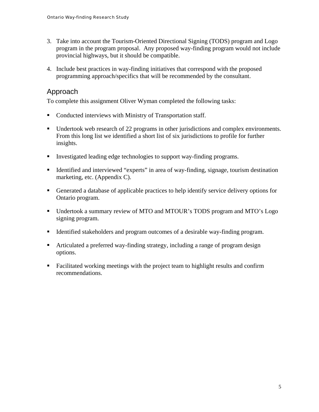- <span id="page-7-0"></span>3. Take into account the Tourism-Oriented Directional Signing (TODS) program and Logo program in the program proposal. Any proposed way-finding program would not include provincial highways, but it should be compatible.
- 4. Include best practices in way-finding initiatives that correspond with the proposed programming approach/specifics that will be recommended by the consultant.

# Approach

To complete this assignment Oliver Wyman completed the following tasks:

- Conducted interviews with Ministry of Transportation staff.
- Undertook web research of 22 programs in other jurisdictions and complex environments. From this long list we identified a short list of six jurisdictions to profile for further insights.
- Investigated leading edge technologies to support way-finding programs.
- Identified and interviewed "experts" in area of way-finding, signage, tourism destination marketing, etc. (Appendix C).
- Generated a database of applicable practices to help identify service delivery options for Ontario program.
- Undertook a summary review of MTO and MTOUR's TODS program and MTO's Logo signing program.
- Identified stakeholders and program outcomes of a desirable way-finding program.
- Articulated a preferred way-finding strategy, including a range of program design options.
- Facilitated working meetings with the project team to highlight results and confirm recommendations.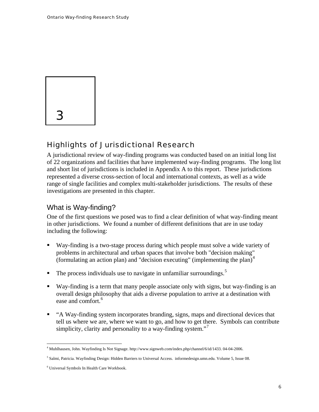<span id="page-8-0"></span>

# Highlights of Jurisdictional Research

A jurisdictional review of way-finding programs was conducted based on an initial long list of 22 organizations and facilities that have implemented way-finding programs. The long list and short list of jurisdictions is included in Appendix A to this report. These jurisdictions represented a diverse cross-section of local and international contexts, as well as a wide range of single facilities and complex multi-stakeholder jurisdictions. The results of these investigations are presented in this chapter.

## What is Way-finding?

One of the first questions we posed was to find a clear definition of what way-finding meant in other jurisdictions. We found a number of different definitions that are in use today including the following:

- Way-finding is a two-stage process during which people must solve a wide variety of problems in architectural and urban spaces that involve both "decision making" (formulating an action plan) and "decision executing" (implementing the plan) $4$
- $\blacksquare$  The process individuals use to navigate in unfamiliar surroundings.<sup>[5](#page-8-2)</sup>
- Way-finding is a term that many people associate only with signs, but way-finding is an overall design philosophy that aids a diverse population to arrive at a destination with ease and comfort.<sup>[6](#page-8-3)</sup>
- "A Way-finding system incorporates branding, signs, maps and directional devices that tell us where we are, where we want to go, and how to get there. Symbols can contribute simplicity, clarity and personality to a way-finding system. $\cdot$ <sup>[7](#page-8-4)</sup>

<span id="page-8-4"></span><span id="page-8-1"></span> 4 Muhlhausen, John. Wayfinding Is Not Signage. http://www.signweb.com/index.php/channel/6/id/1433. 04-04-2006.

<span id="page-8-2"></span><sup>5</sup> Salmi, Patricia. Wayfinding Design: Hidden Barriers to Universal Access. informedesign.umn.edu. Volume 5, Issue 08.

<span id="page-8-3"></span><sup>6</sup> Universal Symbols In Health Care Workbook.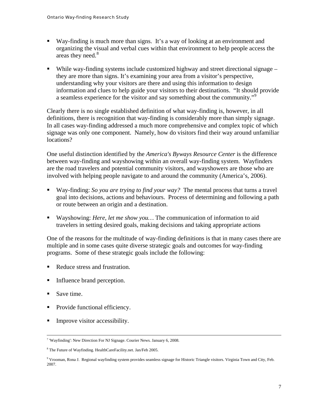- Way-finding is much more than signs. It's a way of looking at an environment and organizing the visual and verbal cues within that environment to help people access the areas they need.<sup>[8](#page-9-0)</sup>
- While way-finding systems include customized highway and street directional signage they are more than signs. It's examining your area from a visitor's perspective, understanding why your visitors are there and using this information to design information and clues to help guide your visitors to their destinations. "It should provide a seamless experience for the visitor and say something about the community."<sup>[9](#page-9-1)</sup>

Clearly there is no single established definition of what way-finding is, however, in all definitions, there is recognition that way-finding is considerably more than simply signage. In all cases way-finding addressed a much more comprehensive and complex topic of which signage was only one component. Namely, how do visitors find their way around unfamiliar locations?

One useful distinction identified by the *America's Byways Resource Center* is the difference between way-finding and wayshowing within an overall way-finding system. Wayfinders are the road travelers and potential community visitors, and wayshowers are those who are involved with helping people navigate to and around the community (America's, 2006).

- Way-finding: *So you are trying to find your way?* The mental process that turns a travel goal into decisions, actions and behaviours. Process of determining and following a path or route between an origin and a destination.
- Wayshowing: *Here, let me show you…* The communication of information to aid travelers in setting desired goals, making decisions and taking appropriate actions

One of the reasons for the multitude of way-finding definitions is that in many cases there are multiple and in some cases quite diverse strategic goals and outcomes for way-finding programs. Some of these strategic goals include the following:

- Reduce stress and frustration.
- Influence brand perception.
- Save time.
- Provide functional efficiency.
- **Improve visitor accessibility.**

 $\frac{1}{7}$ 'Wayfinding': New Direction For NJ Signage. Courier News. January 6, 2008.

<span id="page-9-0"></span><sup>&</sup>lt;sup>8</sup> The Future of Wayfinding. HealthCareFacility.net. Jan/Feb 2005.

<span id="page-9-1"></span><sup>9</sup> Vrooman, Rona J. Regional wayfinding system provides seamless signage for Historic Triangle visitors. Virginia Town and City, Feb. 2007.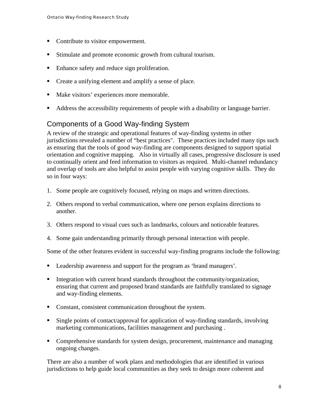- <span id="page-10-0"></span>• Contribute to visitor empowerment.
- Stimulate and promote economic growth from cultural tourism.
- Enhance safety and reduce sign proliferation.
- Create a unifying element and amplify a sense of place.
- Make visitors' experiences more memorable.
- Address the accessibility requirements of people with a disability or language barrier.

# Components of a Good Way-finding System

A review of the strategic and operational features of way-finding systems in other jurisdictions revealed a number of "best practices". These practices included many tips such as ensuring that the tools of good way-finding are components designed to support spatial orientation and cognitive mapping. Also in virtually all cases, progressive disclosure is used to continually orient and feed information to visitors as required. Multi-channel redundancy and overlap of tools are also helpful to assist people with varying cognitive skills. They do so in four ways:

- 1. Some people are cognitively focused, relying on maps and written directions.
- 2. Others respond to verbal communication, where one person explains directions to another.
- 3. Others respond to visual cues such as landmarks, colours and noticeable features.
- 4. Some gain understanding primarily through personal interaction with people.

Some of the other features evident in successful way-finding programs include the following:

- **Leadership awareness and support for the program as 'brand managers'.**
- Integration with current brand standards throughout the community/organization, ensuring that current and proposed brand standards are faithfully translated to signage and way-finding elements.
- Constant, consistent communication throughout the system.
- Single points of contact/approval for application of way-finding standards, involving marketing communications, facilities management and purchasing .
- Comprehensive standards for system design, procurement, maintenance and managing ongoing changes.

There are also a number of work plans and methodologies that are identified in various jurisdictions to help guide local communities as they seek to design more coherent and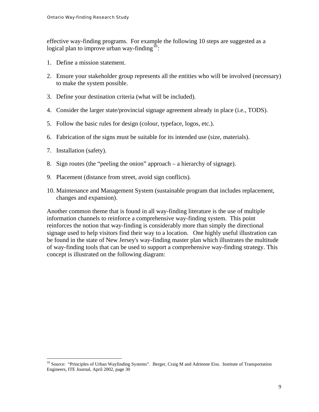effective way-finding programs. For example the following 10 steps are suggested as a logical plan to improve urban way-finding<sup>[10](#page-11-0)</sup>:

- 1. Define a mission statement.
- 2. Ensure your stakeholder group represents all the entities who will be involved (necessary) to make the system possible.
- 3. Define your destination criteria (what will be included).
- 4. Consider the larger state/provincial signage agreement already in place (i.e., TODS).
- 5. Follow the basic rules for design (colour, typeface, logos, etc.).
- 6. Fabrication of the signs must be suitable for its intended use (size, materials).
- 7. Installation (safety).

 $\overline{a}$ 

- 8. Sign routes (the "peeling the onion" approach a hierarchy of signage).
- 9. Placement (distance from street, avoid sign conflicts).
- 10. Maintenance and Management System (sustainable program that includes replacement, changes and expansion).

Another common theme that is found in all way-finding literature is the use of multiple information channels to reinforce a comprehensive way-finding system. This point reinforces the notion that way-finding is considerably more than simply the directional signage used to help visitors find their way to a location. One highly useful illustration can be found in the state of New Jersey's way-finding master plan which illustrates the multitude of way-finding tools that can be used to support a comprehensive way-finding strategy. This concept is illustrated on the following diagram:

<span id="page-11-0"></span><sup>&</sup>lt;sup>10</sup> Source: "Principles of Urban Wayfinding Systems". Berger, Craig M and Adrienne Eiss. Institute of Transportation Engineers, ITE Journal, April 2002, page 30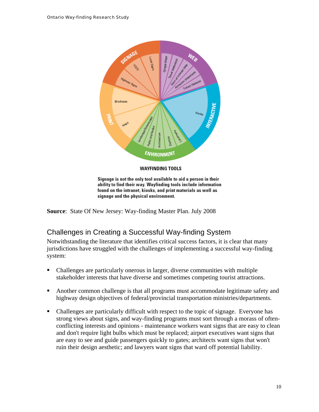<span id="page-12-0"></span>

Signage is not the only tool available to aid a person in their ability to find their way. Wayfinding tools include information found on the intranet, kiosks, and print materials as well as signage and the physical environment.

**Source**: State Of New Jersey: Way-finding Master Plan. July 2008

# Challenges in Creating a Successful Way-finding System

Notwithstanding the literature that identifies critical success factors, it is clear that many jurisdictions have struggled with the challenges of implementing a successful way-finding system:

- Challenges are particularly onerous in larger, diverse communities with multiple stakeholder interests that have diverse and sometimes competing tourist attractions.
- Another common challenge is that all programs must accommodate legitimate safety and highway design objectives of federal/provincial transportation ministries/departments.
- Challenges are particularly difficult with respect to the topic of signage. Everyone has strong views about signs, and way-finding programs must sort through a morass of oftenconflicting interests and opinions - maintenance workers want signs that are easy to clean and don't require light bulbs which must be replaced; airport executives want signs that are easy to see and guide passengers quickly to gates; architects want signs that won't ruin their design aesthetic; and lawyers want signs that ward off potential liability.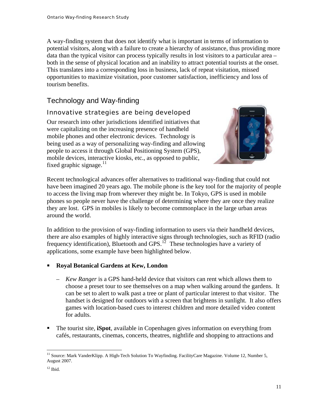<span id="page-13-0"></span>A way-finding system that does not identify what is important in terms of information to potential visitors, along with a failure to create a hierarchy of assistance, thus providing more data than the typical visitor can process typically results in lost visitors to a particular area – both in the sense of physical location and an inability to attract potential tourists at the onset. This translates into a corresponding loss in business, lack of repeat visitation, missed opportunities to maximize visitation, poor customer satisfaction, inefficiency and loss of tourism benefits.

# Technology and Way-finding

#### Innovative strategies are being developed

Our research into other jurisdictions identified initiatives that were capitalizing on the increasing presence of handheld mobile phones and other electronic devices. Technology is being used as a way of personalizing way-finding and allowing people to access it through Global Positioning System (GPS), mobile devices, interactive kiosks, etc., as opposed to public, fixed graphic signage. $11$ 



Recent technological advances offer alternatives to traditional way-finding that could not have been imagined 20 years ago. The mobile phone is the key tool for the majority of people to access the living map from wherever they might be. In Tokyo, GPS is used in mobile phones so people never have the challenge of determining where they are once they realize they are lost. GPS in mobiles is likely to become commonplace in the large urban areas around the world.

In addition to the provision of way-finding information to users via their handheld devices, there are also examples of highly interactive signs through technologies, such as RFID (radio frequency identification), Bluetooth and GPS.<sup>[12](#page-13-2)</sup> These technologies have a variety of applications, some example have been highlighted below.

#### **Royal Botanical Gardens at Kew, London**

- *Kew Ranger* is a GPS hand-held device that visitors can rent which allows them to choose a preset tour to see themselves on a map when walking around the gardens. It can be set to alert to walk past a tree or plant of particular interest to that visitor. The handset is designed for outdoors with a screen that brightens in sunlight. It also offers games with location-based cues to interest children and more detailed video content for adults.
- The tourist site, **iSpot**, available in Copenhagen gives information on everything from cafés, restaurants, cinemas, concerts, theatres, nightlife and shopping to attractions and

<span id="page-13-1"></span> $\overline{a}$ <sup>11</sup> Source: Mark VanderKlipp. A High-Tech Solution To Wayfinding. FacilityCare Magazine. Volume 12, Number 5, August 2007.

<span id="page-13-2"></span> $12$  Ibid.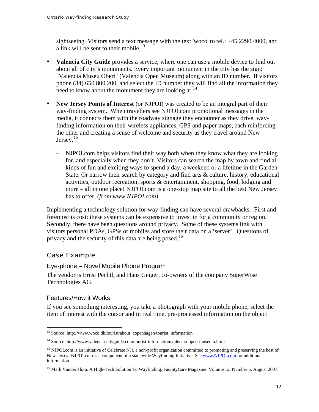<span id="page-14-0"></span>sightseeing. Visitors send a text message with the text 'woco' to tel.: +45 2290 4000, and a link will be sent to their mobile.<sup>[13](#page-14-1)</sup>

- **Valencia City Guide** provides a service, where one can use a mobile device to find out about all of city's monuments. Every important monument in the city has the sign: "Valencia Museu Obert" (Valencia Open Museum) along with an ID number. If visitors phone (34) 650 800 200, and select the ID number they will find all the information they need to know about the monument they are looking at.<sup>[14](#page-14-2)</sup>
- **New Jersey Points of Interest** (or NJPOI) was created to be an integral part of their way-finding system. When travellers see NJPOI.com promotional messages in the media, it connects them with the roadway signage they encounter as they drive, wayfinding information on their wireless appliances, GPS and paper maps, each reinforcing the other and creating a sense of welcome and security as they travel around New Jersey. $15$ 
	- NJPOI.com helps visitors find their way both when they know what they are looking for, and especially when they don't. Visitors can search the map by town and find all kinds of fun and exciting ways to spend a day, a weekend or a lifetime in the Garden State. Or narrow their search by category and find arts & culture, history, educational activities, outdoor recreation, sports & entertainment, shopping, food, lodging and more – all in one place! NJPOI.com is a one-stop map site to all the best New Jersey has to offer. (*from www.NJPOI.com)*

Implementing a technology solution for way-finding can have several drawbacks. First and foremost is cost: these systems can be expensive to invest in for a community or region. Secondly, there have been questions around privacy. Some of these systems link with visitors personal PDAs, GPSs or mobiles and store their data on a 'server'. Questions of privacy and the security of this data are being posed.<sup>[16](#page-14-4)</sup>

## Case Example

#### Eye-phone – Novel Mobile Phone Program

The vendor is Ernst Pechtl, and Hans Geiger, co-owners of the company SuperWise Technologies AG.

#### Features/How it Works

 $\overline{a}$ 

If you see something interesting, you take a photograph with your mobile phone, select the item of interest with the cursor and in real time, pre-processed information on the object

<span id="page-14-1"></span><sup>&</sup>lt;sup>13</sup> Source: http://www.woco.dk/tourist/about\_copenhagen/tourist\_information

<span id="page-14-2"></span><sup>14</sup> Source: http://www.valencia-cityguide.com/tourist-information/valencia-open-museum.html

<span id="page-14-3"></span><sup>&</sup>lt;sup>15</sup> NJPOI.com is an initiative of Celebrate NJ!, a non-profit organization committed to promoting and preserving the best of New Jersey. NJPOI.com is a component of a state wide Wayfinding Initiative. See [www.NJPOI.com](http://www.njpoi.com/) for additional information.

<span id="page-14-4"></span><sup>&</sup>lt;sup>16</sup> Mark VanderKlipp. A High-Tech Solution To Wayfinding. FacilityCare Magazine. Volume 12, Number 5, August 2007.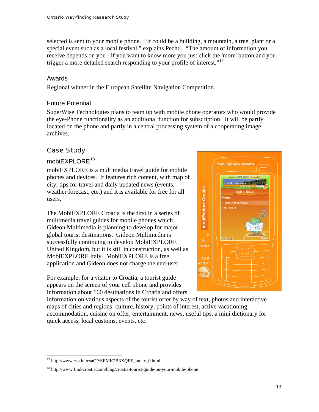selected is sent to your mobile phone. "It could be a building, a mountain, a tree, plant or a special event such as a local festival," explains Pechtl. "The amount of information you receive depends on you - if you want to know more you just click the 'more' button and you trigger a more detailed search responding to your profile of interest."<sup>[17](#page-15-0)</sup>

#### Awards

Regional winner in the European Satellite Navigation Competition.

#### Future Potential

SuperWise Technologies plans to team up with mobile phone operators who would provide the eye-Phone functionality as an additional function for subscription. It will be partly located on the phone and partly in a central processing system of a cooperating image archives.

## Case Study

#### mobiEXPLORE<sup>[18](#page-15-1)</sup>

mobiEXPLORE is a multimedia travel guide for mobile phones and devices. It features rich content, with map of city, tips for travel and daily updated news (events, weather forecast, etc.) and it is available for free for all users.

The MobiEXPLORE Croatia is the first in a series of multimedia travel guides for mobile phones which Gideon Multimedia is planning to develop for major global tourist destinations. Gideon Multimedia is successfully continuing to develop MobiEXPLORE United Kingdom, but it is still in construction, as well as MobiEXPLORE Italy. MobiEXPLORE is a free application and Gideon does not charge the end-user.

For example: for a visitor to Croatia, a tourist guide appears on the screen of your cell phone and provides information about 160 destinations in Croatia and offers



information on various aspects of the tourist offer by way of text, photos and interactive maps of cities and regions: culture, history, points of interest, active vacationing,

accommodation, cuisine on offer, entertainment, news, useful tips, a mini dictionary for quick access, local customs, events, etc.

 $\overline{a}$ <sup>17</sup> http://www.esa.int/esaCP/SEMK2B3XQEF\_index\_0.html

<span id="page-15-1"></span><span id="page-15-0"></span><sup>&</sup>lt;sup>18</sup> http://www.find-croatia.com/blog/croatia-tourist-guide-on-your-mobile-phone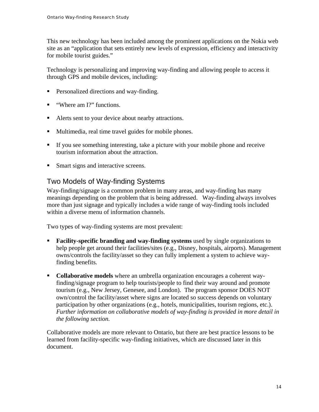<span id="page-16-0"></span>This new technology has been included among the prominent applications on the Nokia web site as an "application that sets entirely new levels of expression, efficiency and interactivity for mobile tourist guides."

Technology is personalizing and improving way-finding and allowing people to access it through GPS and mobile devices, including:

- **Personalized directions and way-finding.**
- "Where am I?" functions.
- Alerts sent to your device about nearby attractions.
- Multimedia, real time travel guides for mobile phones.
- If you see something interesting, take a picture with your mobile phone and receive tourism information about the attraction.
- Smart signs and interactive screens.

# Two Models of Way-finding Systems

Way-finding/signage is a common problem in many areas, and way-finding has many meanings depending on the problem that is being addressed. Way-finding always involves more than just signage and typically includes a wide range of way-finding tools included within a diverse menu of information channels.

Two types of way-finding systems are most prevalent:

- **Facility-specific branding and way-finding systems** used by single organizations to help people get around their facilities/sites (e.g., Disney, hospitals, airports). Management owns/controls the facility/asset so they can fully implement a system to achieve wayfinding benefits.
- **Collaborative models** where an umbrella organization encourages a coherent wayfinding/signage program to help tourists/people to find their way around and promote tourism (e.g., New Jersey, Genesee, and London). The program sponsor DOES NOT own/control the facility/asset where signs are located so success depends on voluntary participation by other organizations (e.g., hotels, municipalities, tourism regions, etc.). *Further information on collaborative models of way-finding is provided in more detail in the following section.*

Collaborative models are more relevant to Ontario, but there are best practice lessons to be learned from facility-specific way-finding initiatives, which are discussed later in this document.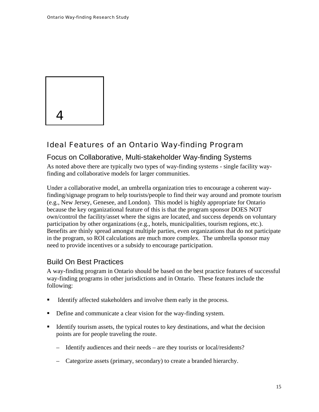<span id="page-17-0"></span>

# Ideal Features of an Ontario Way-finding Program

## Focus on Collaborative, Multi-stakeholder Way-finding Systems

As noted above there are typically two types of way-finding systems - single facility wayfinding and collaborative models for larger communities.

Under a collaborative model, an umbrella organization tries to encourage a coherent wayfinding/signage program to help tourists/people to find their way around and promote tourism (e.g., New Jersey, Genesee, and London). This model is highly appropriate for Ontario because the key organizational feature of this is that the program sponsor DOES NOT own/control the facility/asset where the signs are located, and success depends on voluntary participation by other organizations (e.g., hotels, municipalities, tourism regions, etc.). Benefits are thinly spread amongst multiple parties, even organizations that do not participate in the program, so ROI calculations are much more complex. The umbrella sponsor may need to provide incentives or a subsidy to encourage participation.

## Build On Best Practices

A way-finding program in Ontario should be based on the best practice features of successful way-finding programs in other jurisdictions and in Ontario. These features include the following:

- Identify affected stakeholders and involve them early in the process.
- Define and communicate a clear vision for the way-finding system.
- Identify tourism assets, the typical routes to key destinations, and what the decision points are for people traveling the route.
	- Identify audiences and their needs are they tourists or local/residents?
	- Categorize assets (primary, secondary) to create a branded hierarchy.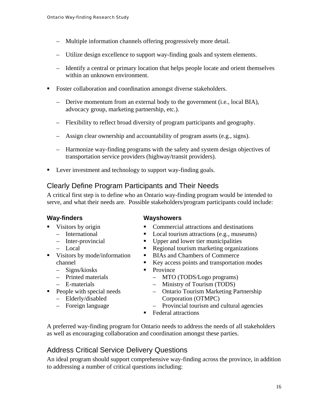- <span id="page-18-0"></span>– Multiple information channels offering progressively more detail.
- Utilize design excellence to support way-finding goals and system elements.
- Identify a central or primary location that helps people locate and orient themselves within an unknown environment.
- Foster collaboration and coordination amongst diverse stakeholders.
	- Derive momentum from an external body to the government (i.e., local BIA), advocacy group, marketing partnership, etc.).
	- Flexibility to reflect broad diversity of program participants and geography.
	- Assign clear ownership and accountability of program assets (e.g., signs).
	- Harmonize way-finding programs with the safety and system design objectives of transportation service providers (highway/transit providers).
- **Lever investment and technology to support way-finding goals.**

## Clearly Define Program Participants and Their Needs

A critical first step is to define who an Ontario way-finding program would be intended to serve, and what their needs are. Possible stakeholders/program participants could include:

#### **Way-finders**

- Visitors by origin
	- International
	- Inter-provincial – Local
- Visitors by mode/information channel
	- Signs/kiosks
	- Printed materials
	- E-materials
- **People with special needs** 
	- Elderly/disabled
	- Foreign language

#### **Wayshowers**

- Commercial attractions and destinations
- Local tourism attractions (e.g., museums)
- Upper and lower tier municipalities
- Regional tourism marketing organizations
- BIAs and Chambers of Commerce
- Key access points and transportation modes
- Province
	- MTO (TODS/Logo programs)
	- Ministry of Tourism (TODS)
	- Ontario Tourism Marketing Partnership Corporation (OTMPC)
	- Provincial tourism and cultural agencies
- Federal attractions

A preferred way-finding program for Ontario needs to address the needs of all stakeholders as well as encouraging collaboration and coordination amongst these parties.

# Address Critical Service Delivery Questions

An ideal program should support comprehensive way-finding across the province, in addition to addressing a number of critical questions including: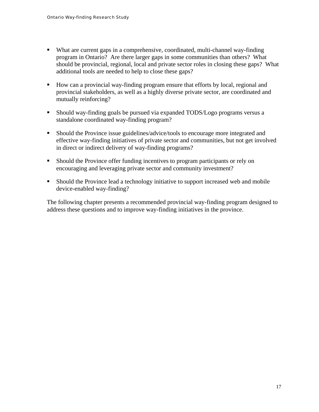- What are current gaps in a comprehensive, coordinated, multi-channel way-finding program in Ontario? Are there larger gaps in some communities than others? What should be provincial, regional, local and private sector roles in closing these gaps? What additional tools are needed to help to close these gaps?
- How can a provincial way-finding program ensure that efforts by local, regional and provincial stakeholders, as well as a highly diverse private sector, are coordinated and mutually reinforcing?
- Should way-finding goals be pursued via expanded TODS/Logo programs versus a standalone coordinated way-finding program?
- Should the Province issue guidelines/advice/tools to encourage more integrated and effective way-finding initiatives of private sector and communities, but not get involved in direct or indirect delivery of way-finding programs?
- Should the Province offer funding incentives to program participants or rely on encouraging and leveraging private sector and community investment?
- Should the Province lead a technology initiative to support increased web and mobile device-enabled way-finding?

The following chapter presents a recommended provincial way-finding program designed to address these questions and to improve way-finding initiatives in the province.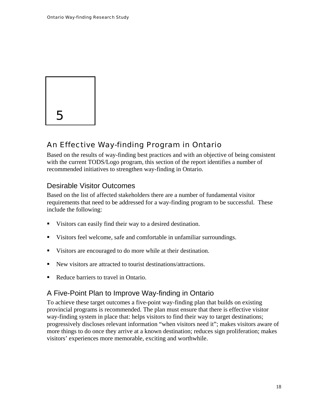<span id="page-20-0"></span>

# An Effective Way-finding Program in Ontario

Based on the results of way-finding best practices and with an objective of being consistent with the current TODS/Logo program, this section of the report identifies a number of recommended initiatives to strengthen way-finding in Ontario.

# Desirable Visitor Outcomes

Based on the list of affected stakeholders there are a number of fundamental visitor requirements that need to be addressed for a way-finding program to be successful. These include the following:

- Visitors can easily find their way to a desired destination.
- Visitors feel welcome, safe and comfortable in unfamiliar surroundings.
- Visitors are encouraged to do more while at their destination.
- New visitors are attracted to tourist destinations/attractions.
- Reduce barriers to travel in Ontario.

# A Five-Point Plan to Improve Way-finding in Ontario

To achieve these target outcomes a five-point way-finding plan that builds on existing provincial programs is recommended. The plan must ensure that there is effective visitor way-finding system in place that: helps visitors to find their way to target destinations; progressively discloses relevant information "when visitors need it"; makes visitors aware of more things to do once they arrive at a known destination; reduces sign proliferation; makes visitors' experiences more memorable, exciting and worthwhile.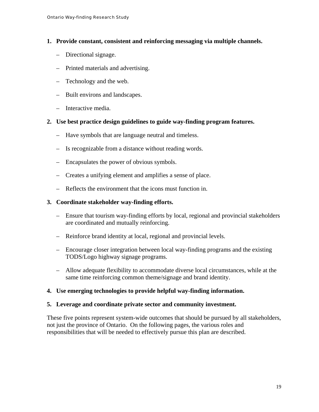- **1. Provide constant, consistent and reinforcing messaging via multiple channels.** 
	- Directional signage.
	- Printed materials and advertising.
	- Technology and the web.
	- Built environs and landscapes.
	- Interactive media.
- **2. Use best practice design guidelines to guide way-finding program features.** 
	- Have symbols that are language neutral and timeless.
	- Is recognizable from a distance without reading words.
	- Encapsulates the power of obvious symbols.
	- Creates a unifying element and amplifies a sense of place.
	- Reflects the environment that the icons must function in.

#### **3. Coordinate stakeholder way-finding efforts.**

- Ensure that tourism way-finding efforts by local, regional and provincial stakeholders are coordinated and mutually reinforcing.
- Reinforce brand identity at local, regional and provincial levels.
- Encourage closer integration between local way-finding programs and the existing TODS/Logo highway signage programs.
- Allow adequate flexibility to accommodate diverse local circumstances, while at the same time reinforcing common theme/signage and brand identity.

#### **4. Use emerging technologies to provide helpful way-finding information.**

#### **5. Leverage and coordinate private sector and community investment.**

These five points represent system-wide outcomes that should be pursued by all stakeholders, not just the province of Ontario. On the following pages, the various roles and responsibilities that will be needed to effectively pursue this plan are described.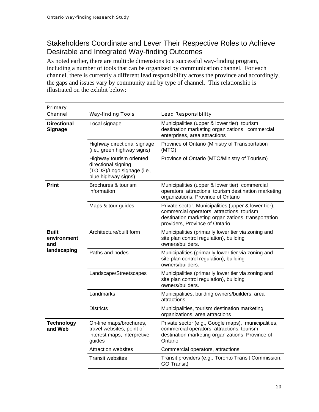# <span id="page-22-0"></span>Stakeholders Coordinate and Lever Their Respective Roles to Achieve Desirable and Integrated Way-finding Outcomes

As noted earlier, there are multiple dimensions to a successful way-finding program, including a number of tools that can be organized by communication channel. For each channel, there is currently a different lead responsibility across the province and accordingly, the gaps and issues vary by community and by type of channel. This relationship is illustrated on the exhibit below:

| Primary<br><b>Channel</b>            | <b>Way-finding Tools</b>                                                                             | <b>Lead Responsibility</b>                                                                                                                                                                  |
|--------------------------------------|------------------------------------------------------------------------------------------------------|---------------------------------------------------------------------------------------------------------------------------------------------------------------------------------------------|
| <b>Directional</b><br><b>Signage</b> | Local signage                                                                                        | Municipalities (upper & lower tier), tourism<br>destination marketing organizations, commercial<br>enterprises, area attractions                                                            |
|                                      | Highway directional signage<br>(i.e., green highway signs)                                           | Province of Ontario (Ministry of Transportation<br>(MTO)                                                                                                                                    |
|                                      | Highway tourism oriented<br>directional signing<br>(TODS)/Logo signage (i.e.,<br>blue highway signs) | Province of Ontario (MTO/Ministry of Tourism)                                                                                                                                               |
| <b>Print</b>                         | Brochures & tourism<br>information                                                                   | Municipalities (upper & lower tier), commercial<br>operators, attractions, tourism destination marketing<br>organizations, Province of Ontario                                              |
|                                      | Maps & tour guides                                                                                   | Private sector, Municipalities (upper & lower tier),<br>commercial operators, attractions, tourism<br>destination marketing organizations, transportation<br>providers, Province of Ontario |
| <b>Built</b><br>environment<br>and   | Architecture/built form                                                                              | Municipalities (primarily lower tier via zoning and<br>site plan control regulation), building<br>owners/builders.                                                                          |
| landscaping                          | Paths and nodes                                                                                      | Municipalities (primarily lower tier via zoning and<br>site plan control regulation), building<br>owners/builders.                                                                          |
|                                      | Landscape/Streetscapes                                                                               | Municipalities (primarily lower tier via zoning and<br>site plan control regulation), building<br>owners/builders.                                                                          |
|                                      | Landmarks                                                                                            | Municipalities, building owners/builders, area<br>attractions                                                                                                                               |
|                                      | <b>Districts</b>                                                                                     | Municipalities, tourism destination marketing<br>organizations, area attractions                                                                                                            |
| <b>Technology</b><br>and Web         | On-line maps/brochures,<br>travel websites, point of<br>interest maps, interpretive<br>guides        | Private sector (e.g., Google maps), municipalities,<br>commercial operators, attractions, tourism<br>destination marketing organizations, Province of<br>Ontario                            |
|                                      | <b>Attraction websites</b>                                                                           | Commercial operators, attractions                                                                                                                                                           |
|                                      | Transit websites                                                                                     | Transit providers (e.g., Toronto Transit Commission,<br><b>GO Transit)</b>                                                                                                                  |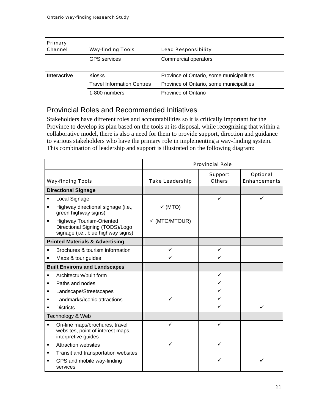<span id="page-23-0"></span>

| <b>Primary</b>     |                                   |                                          |  |
|--------------------|-----------------------------------|------------------------------------------|--|
| Channel            | <b>Way-finding Tools</b>          | <b>Lead Responsibility</b>               |  |
|                    | <b>GPS</b> services               | Commercial operators                     |  |
| <b>Interactive</b> | <b>Kiosks</b>                     | Province of Ontario, some municipalities |  |
|                    | <b>Travel Information Centres</b> | Province of Ontario, some municipalities |  |
|                    | 1-800 numbers                     | Province of Ontario                      |  |

# Provincial Roles and Recommended Initiatives

Stakeholders have different roles and accountabilities so it is critically important for the Province to develop its plan based on the tools at its disposal, while recognizing that within a collaborative model, there is also a need for them to provide support, direction and guidance to various stakeholders who have the primary role in implementing a way-finding system. This combination of leadership and support is illustrated on the following diagram:

|                                            |                                                                                                          | <b>Provincial Role</b>   |                                 |                                        |
|--------------------------------------------|----------------------------------------------------------------------------------------------------------|--------------------------|---------------------------------|----------------------------------------|
|                                            | <b>Way-finding Tools</b>                                                                                 | <b>Take Leadership</b>   | <b>Support</b><br><b>Others</b> | <b>Optional</b><br><b>Enhancements</b> |
|                                            | <b>Directional Signage</b>                                                                               |                          |                                 |                                        |
| $\blacksquare$                             | Local Signage                                                                                            |                          | ✓                               | ✓                                      |
|                                            | Highway directional signage (i.e.,<br>green highway signs)                                               | $\checkmark$ (MTO)       |                                 |                                        |
| $\blacksquare$                             | <b>Highway Tourism-Oriented</b><br>Directional Signing (TODS)/Logo<br>signage (i.e., blue highway signs) | $\checkmark$ (MTO/MTOUR) |                                 |                                        |
| <b>Printed Materials &amp; Advertising</b> |                                                                                                          |                          |                                 |                                        |
| $\blacksquare$                             | Brochures & tourism information                                                                          | ✓                        | ✓                               |                                        |
|                                            | Maps & tour guides                                                                                       |                          | ✓                               |                                        |
|                                            | <b>Built Environs and Landscapes</b>                                                                     |                          |                                 |                                        |
| $\blacksquare$                             | Architecture/built form                                                                                  |                          | ✓                               |                                        |
| ٠                                          | Paths and nodes                                                                                          |                          |                                 |                                        |
| ٠                                          | Landscape/Streetscapes                                                                                   |                          |                                 |                                        |
|                                            | Landmarks/Iconic attractions                                                                             |                          |                                 |                                        |
| ٠                                          | <b>Districts</b>                                                                                         |                          |                                 | ✓                                      |
| Technology & Web                           |                                                                                                          |                          |                                 |                                        |
| $\blacksquare$                             | On-line maps/brochures, travel<br>websites, point of interest maps,<br>interpretive guides               | ✓                        | ✓                               |                                        |
| ٠                                          | <b>Attraction websites</b>                                                                               |                          |                                 |                                        |
| ٠                                          | Transit and transportation websites                                                                      |                          |                                 |                                        |
| ٠                                          | GPS and mobile way-finding<br>services                                                                   |                          |                                 | ✓                                      |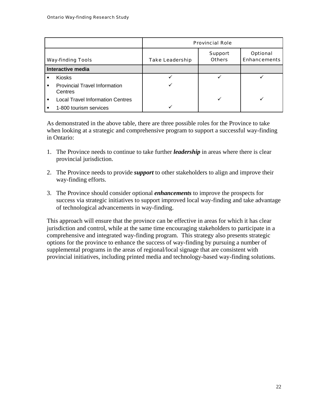|                          |                                                 | <b>Provincial Role</b> |                                 |                                        |
|--------------------------|-------------------------------------------------|------------------------|---------------------------------|----------------------------------------|
| <b>Way-finding Tools</b> |                                                 | <b>Take Leadership</b> | <b>Support</b><br><b>Others</b> | <b>Optional</b><br><b>Enhancements</b> |
| <b>Interactive media</b> |                                                 |                        |                                 |                                        |
|                          | <b>Kiosks</b>                                   |                        |                                 |                                        |
| ٠                        | <b>Provincial Travel Information</b><br>Centres |                        |                                 |                                        |
| ٠                        | <b>Local Travel Information Centres</b>         |                        |                                 |                                        |
|                          | 1-800 tourism services                          |                        |                                 |                                        |

As demonstrated in the above table, there are three possible roles for the Province to take when looking at a strategic and comprehensive program to support a successful way-finding in Ontario:

- 1. The Province needs to continue to take further *leadership* in areas where there is clear provincial jurisdiction.
- 2. The Province needs to provide *support* to other stakeholders to align and improve their way-finding efforts.
- 3. The Province should consider optional *enhancements* to improve the prospects for success via strategic initiatives to support improved local way-finding and take advantage of technological advancements in way-finding.

This approach will ensure that the province can be effective in areas for which it has clear jurisdiction and control, while at the same time encouraging stakeholders to participate in a comprehensive and integrated way-finding program. This strategy also presents strategic options for the province to enhance the success of way-finding by pursuing a number of supplemental programs in the areas of regional/local signage that are consistent with provincial initiatives, including printed media and technology-based way-finding solutions.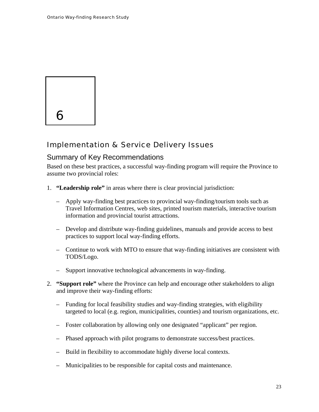<span id="page-25-0"></span>

# Implementation & Service Delivery Issues

## Summary of Key Recommendations

Based on these best practices, a successful way-finding program will require the Province to assume two provincial roles:

- 1. **"Leadership role"** in areas where there is clear provincial jurisdiction:
	- Apply way-finding best practices to provincial way-finding/tourism tools such as Travel Information Centres, web sites, printed tourism materials, interactive tourism information and provincial tourist attractions.
	- Develop and distribute way-finding guidelines, manuals and provide access to best practices to support local way-finding efforts.
	- Continue to work with MTO to ensure that way-finding initiatives are consistent with TODS/Logo.
	- Support innovative technological advancements in way-finding.
- 2. **"Support role"** where the Province can help and encourage other stakeholders to align and improve their way-finding efforts:
	- Funding for local feasibility studies and way-finding strategies, with eligibility targeted to local (e.g. region, municipalities, counties) and tourism organizations, etc.
	- Foster collaboration by allowing only one designated "applicant" per region.
	- Phased approach with pilot programs to demonstrate success/best practices.
	- Build in flexibility to accommodate highly diverse local contexts.
	- Municipalities to be responsible for capital costs and maintenance.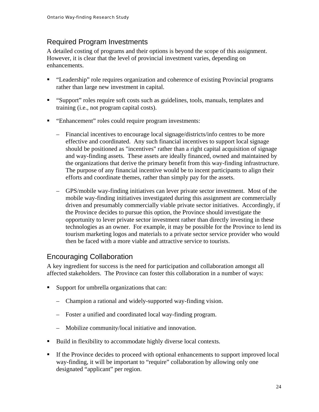# <span id="page-26-0"></span>Required Program Investments

A detailed costing of programs and their options is beyond the scope of this assignment. However, it is clear that the level of provincial investment varies, depending on enhancements.

- "Leadership" role requires organization and coherence of existing Provincial programs rather than large new investment in capital.
- "Support" roles require soft costs such as guidelines, tools, manuals, templates and training (i.e., not program capital costs).
- "Enhancement" roles could require program investments:
	- Financial incentives to encourage local signage/districts/info centres to be more effective and coordinated. Any such financial incentives to support local signage should be positioned as "incentives" rather than a right capital acquisition of signage and way-finding assets. These assets are ideally financed, owned and maintained by the organizations that derive the primary benefit from this way-finding infrastructure. The purpose of any financial incentive would be to incent participants to align their efforts and coordinate themes, rather than simply pay for the assets.
	- GPS/mobile way-finding initiatives can lever private sector investment. Most of the mobile way-finding initiatives investigated during this assignment are commercially driven and presumably commercially viable private sector initiatives. Accordingly, if the Province decides to pursue this option, the Province should investigate the opportunity to lever private sector investment rather than directly investing in these technologies as an owner. For example, it may be possible for the Province to lend its tourism marketing logos and materials to a private sector service provider who would then be faced with a more viable and attractive service to tourists.

# Encouraging Collaboration

A key ingredient for success is the need for participation and collaboration amongst all affected stakeholders. The Province can foster this collaboration in a number of ways:

- Support for umbrella organizations that can:
	- Champion a rational and widely-supported way-finding vision.
	- Foster a unified and coordinated local way-finding program.
	- Mobilize community/local initiative and innovation.
- Build in flexibility to accommodate highly diverse local contexts.
- If the Province decides to proceed with optional enhancements to support improved local way-finding, it will be important to "require" collaboration by allowing only one designated "applicant" per region.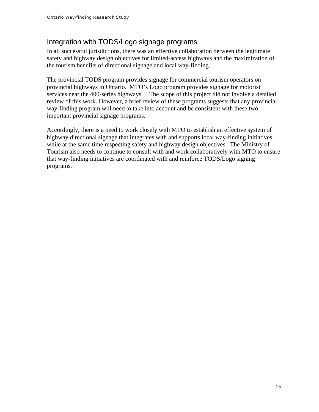# <span id="page-27-0"></span>Integration with TODS/Logo signage programs

In all successful jurisdictions, there was an effective collaboration between the legitimate safety and highway design objectives for limited-access highways and the maximization of the tourism benefits of directional signage and local way-finding.

The provincial TODS program provides signage for commercial tourism operators on provincial highways in Ontario. MTO's Logo program provides signage for motorist services near the 400-series highways. The scope of this project did not involve a detailed review of this work. However, a brief review of these programs suggests that any provincial way-finding program will need to take into account and be consistent with these two important provincial signage programs.

Accordingly, there is a need to work closely with MTO to establish an effective system of highway directional signage that integrates with and supports local way-finding initiatives, while at the same time respecting safety and highway design objectives. The Ministry of Tourism also needs to continue to consult with and work collaboratively with MTO to ensure that way-finding initiatives are coordinated with and reinforce TODS/Logo signing programs.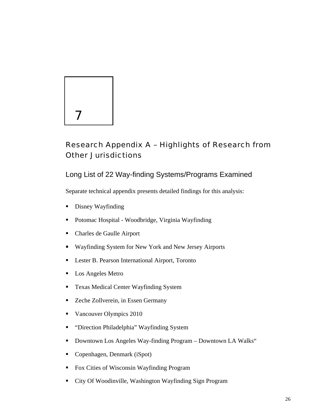# 7

# Research Appendix A – Highlights of Research from Other Jurisdictions

Long List of 22 Way-finding Systems/Programs Examined

Separate technical appendix presents detailed findings for this analysis:

- Disney Wayfinding
- Potomac Hospital Woodbridge, Virginia Wayfinding
- Charles de Gaulle Airport
- Wayfinding System for New York and New Jersey Airports
- **Lester B. Pearson International Airport, Toronto**
- **Los Angeles Metro**
- **Texas Medical Center Wayfinding System**
- Zeche Zollverein, in Essen Germany
- Vancouver Olympics 2010
- "Direction Philadelphia" Wayfinding System
- Downtown Los Angeles Way-finding Program Downtown LA Walks"
- Copenhagen, Denmark (iSpot)
- Fox Cities of Wisconsin Wayfinding Program
- City Of Woodinville, Washington Wayfinding Sign Program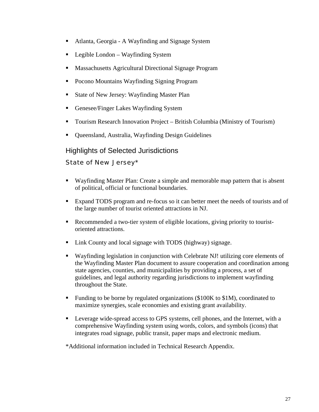- Atlanta, Georgia A Wayfinding and Signage System
- Legible London Wayfinding System
- **Massachusetts Agricultural Directional Signage Program**
- Pocono Mountains Wayfinding Signing Program
- State of New Jersey: Wayfinding Master Plan
- **Genesee/Finger Lakes Wayfinding System**
- Tourism Research Innovation Project British Columbia (Ministry of Tourism)
- Queensland, Australia, Wayfinding Design Guidelines

# Highlights of Selected Jurisdictions

## State of New Jersey\*

- Wayfinding Master Plan: Create a simple and memorable map pattern that is absent of political, official or functional boundaries.
- Expand TODS program and re-focus so it can better meet the needs of tourists and of the large number of tourist oriented attractions in NJ.
- Recommended a two-tier system of eligible locations, giving priority to touristoriented attractions.
- Link County and local signage with TODS (highway) signage.
- Wayfinding legislation in conjunction with Celebrate NJ! utilizing core elements of the Wayfinding Master Plan document to assure cooperation and coordination among state agencies, counties, and municipalities by providing a process, a set of guidelines, and legal authority regarding jurisdictions to implement wayfinding throughout the State.
- Funding to be borne by regulated organizations (\$100K to \$1M), coordinated to maximize synergies, scale economies and existing grant availability.
- **Leverage wide-spread access to GPS systems, cell phones, and the Internet, with a** comprehensive Wayfinding system using words, colors, and symbols (icons) that integrates road signage, public transit, paper maps and electronic medium.

\*Additional information included in Technical Research Appendix.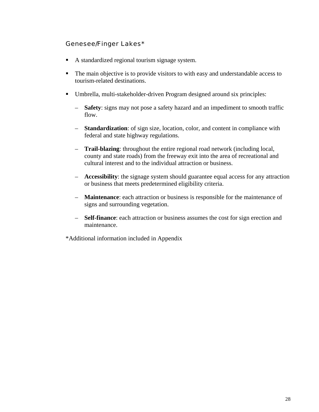#### Genesee/Finger Lakes\*

- A standardized regional tourism signage system.
- The main objective is to provide visitors to with easy and understandable access to tourism-related destinations.
- Umbrella, multi-stakeholder-driven Program designed around six principles:
	- **Safety**: signs may not pose a safety hazard and an impediment to smooth traffic flow.
	- **Standardization**: of sign size, location, color, and content in compliance with federal and state highway regulations.
	- **Trail-blazing**: throughout the entire regional road network (including local, county and state roads) from the freeway exit into the area of recreational and cultural interest and to the individual attraction or business.
	- **Accessibility**: the signage system should guarantee equal access for any attraction or business that meets predetermined eligibility criteria.
	- **Maintenance**: each attraction or business is responsible for the maintenance of signs and surrounding vegetation.
	- **Self-finance**: each attraction or business assumes the cost for sign erection and maintenance.

\*Additional information included in Appendix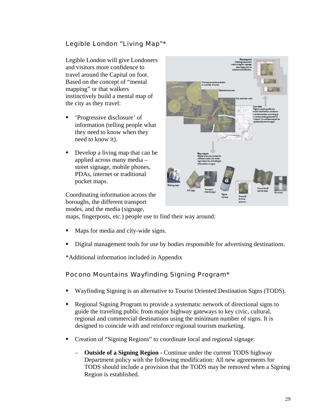# Legible London "Living Map"\*

Legible London will give Londoners and visitors more confidence to travel around the Capital on foot. Based on the concept of "mental mapping" or that walkers instinctively build a mental map of the city as they travel:

- 'Progressive disclosure' of information (telling people what they need to know when they need to know it).
- Develop a living map that can be applied across many media – street signage, mobile phones, PDAs, internet or traditional pocket maps.

Coordinating information across the boroughs, the different transport modes, and the media (signage,



maps, fingerposts, etc.) people use to find their way around:

- Maps for media and city-wide signs.
- Digital management tools for use by bodies responsible for advertising destinations.

\*Additional information included in Appendix

## Pocono Mountains Wayfinding Signing Program\*

- Wayfinding Signing is an alternative to Tourist Oriented Destination Signs (TODS).
- Regional Signing Program to provide a systematic network of directional signs to guide the traveling public from major highway gateways to key civic, cultural, regional and commercial destinations using the minimum number of signs. It is designed to coincide with and reinforce regional tourism marketing.
- Creation of "Signing Regions" to coordinate local and regional signage:
	- **Outside of a Signing Region** Continue under the current TODS highway Department policy with the following modification: All new agreements for TODS should include a provision that the TODS may be removed when a Signing Region is established.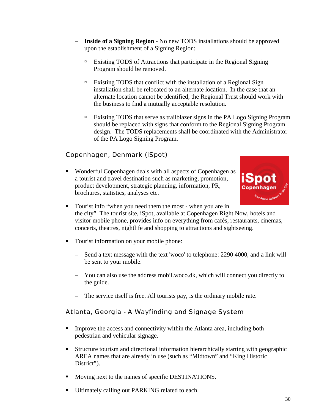- **Inside of a Signing Region** No new TODS installations should be approved upon the establishment of a Signing Region:
	- à Existing TODS of Attractions that participate in the Regional Signing Program should be removed.
	- <sup> $\Box$ </sup> Existing TODS that conflict with the installation of a Regional Sign installation shall be relocated to an alternate location. In the case that an alternate location cannot be identified, the Regional Trust should work with the business to find a mutually acceptable resolution.
	- à Existing TODS that serve as trailblazer signs in the PA Logo Signing Program should be replaced with signs that conform to the Regional Signing Program design. The TODS replacements shall be coordinated with the Administrator of the PA Logo Signing Program.

# Copenhagen, Denmark (iSpot)

 Wonderful Copenhagen deals with all aspects of Copenhagen as a tourist and travel destination such as marketing, promotion, product development, strategic planning, information, PR, brochures, statistics, analyses etc.



- Tourist info "when you need them the most when you are in the city". The tourist site, iSpot, available at Copenhagen Right Now, hotels and visitor mobile phone, provides info on everything from cafés, restaurants, cinemas, concerts, theatres, nightlife and shopping to attractions and sightseeing.
- Tourist information on your mobile phone:
	- Send a text message with the text 'woco' to telephone: 2290 4000, and a link will be sent to your mobile.
	- You can also use the address mobil.woco.dk, which will connect you directly to the guide.
	- The service itself is free. All tourists pay, is the ordinary mobile rate.

# Atlanta, Georgia - A Wayfinding and Signage System

- Improve the access and connectivity within the Atlanta area, including both pedestrian and vehicular signage.
- Structure tourism and directional information hierarchically starting with geographic AREA names that are already in use (such as "Midtown" and "King Historic District").
- Moving next to the names of specific DESTINATIONS.
- Ultimately calling out PARKING related to each.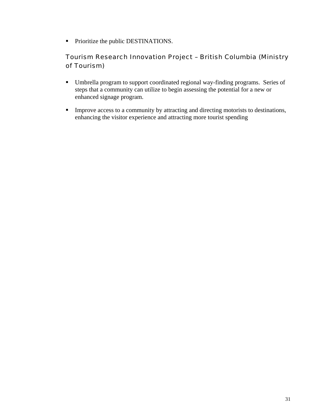• Prioritize the public DESTINATIONS.

# Tourism Research Innovation Project – British Columbia (Ministry of Tourism)

- Umbrella program to support coordinated regional way-finding programs. Series of steps that a community can utilize to begin assessing the potential for a new or enhanced signage program.
- **Improve access to a community by attracting and directing motorists to destinations,** enhancing the visitor experience and attracting more tourist spending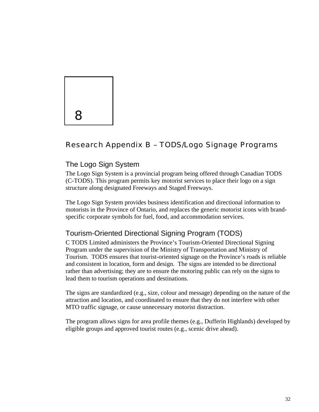

# Research Appendix B – TODS/Logo Signage Programs

# The Logo Sign System

The Logo Sign System is a provincial program being offered through Canadian TODS (C-TODS). This program permits key motorist services to place their logo on a sign structure along designated Freeways and Staged Freeways.

The Logo Sign System provides business identification and directional information to motorists in the Province of Ontario, and replaces the generic motorist icons with brandspecific corporate symbols for fuel, food, and accommodation services.

# Tourism-Oriented Directional Signing Program (TODS)

C TODS Limited administers the Province's Tourism-Oriented Directional Signing Program under the supervision of the Ministry of Transportation and Ministry of Tourism. TODS ensures that tourist-oriented signage on the Province's roads is reliable and consistent in location, form and design. The signs are intended to be directional rather than advertising; they are to ensure the motoring public can rely on the signs to lead them to tourism operations and destinations.

The signs are standardized (e.g., size, colour and message) depending on the nature of the attraction and location, and coordinated to ensure that they do not interfere with other MTO traffic signage, or cause unnecessary motorist distraction.

The program allows signs for area profile themes (e.g., Dufferin Highlands) developed by eligible groups and approved tourist routes (e.g., scenic drive ahead).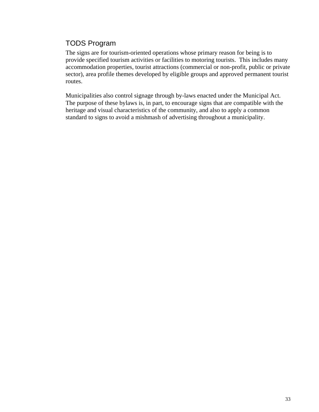# TODS Program

The signs are for tourism-oriented operations whose primary reason for being is to provide specified tourism activities or facilities to motoring tourists. This includes many accommodation properties, tourist attractions (commercial or non-profit, public or private sector), area profile themes developed by eligible groups and approved permanent tourist routes.

Municipalities also control signage through by-laws enacted under the Municipal Act. The purpose of these bylaws is, in part, to encourage signs that are compatible with the heritage and visual characteristics of the community, and also to apply a common standard to signs to avoid a mishmash of advertising throughout a municipality.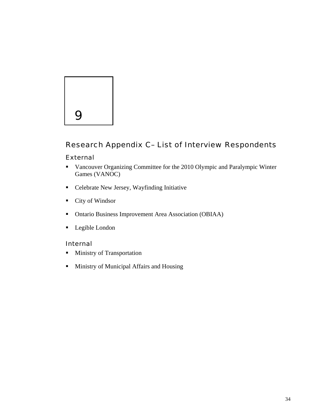

#### Research Appendix C– List of Interview Respondents

#### External

- Vancouver Organizing Committee for the 2010 Olympic and Paralympic Winter Games (VANOC)
- Celebrate New Jersey, Wayfinding Initiative
- City of Windsor
- Ontario Business Improvement Area Association (OBIAA)
- **Legible London**

#### Internal

- **Ministry of Transportation**
- **Ministry of Municipal Affairs and Housing**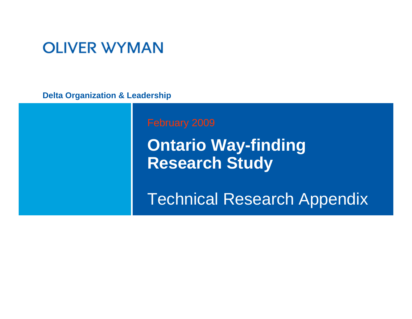# **OLIVER WYMAN**

**Delta Organization & Leadership**

**Ontario Way-finding Research Study** 

Technical Research Appendix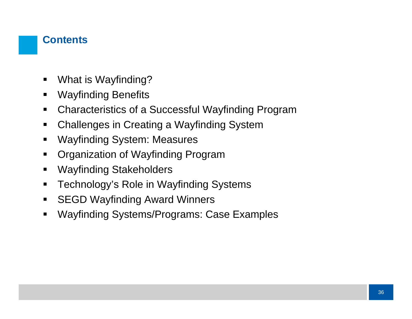### **Contents**

- $\blacksquare$ What is Wayfinding?
- $\blacksquare$ Wayfinding Benefits
- $\blacksquare$ Characteristics of a Successful Wayfinding Program
- $\blacksquare$ Challenges in Creating a Wayfinding System
- $\blacksquare$ Wayfinding System: Measures
- $\blacksquare$ Organization of Wayfinding Program
- $\blacksquare$ Wayfinding Stakeholders
- $\blacksquare$ Technology's Role in Wayfinding Systems
- $\blacksquare$ SEGD Wayfinding Award Winners
- $\blacksquare$ Wayfinding Systems/Programs: Case Examples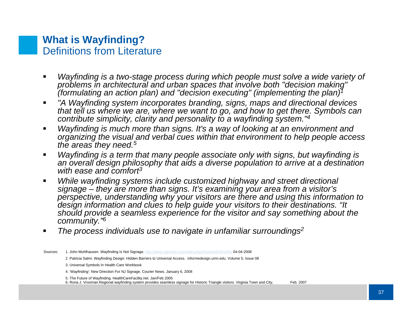### **What is Wayfinding?** Definitions from Literature

- *Wayfinding is a two-stage process during which people must solve a wide variety of problems in architectural and urban spaces that involve both "decision making" (formulating an action plan) and "decision executing" (implementing the plan)1*
- *"A Wayfinding system incorporates branding, signs, maps and directional devices that tell us where we are, where we want to go, and how to get there. Symbols can contribute simplicity, clarity and personality to a wayfinding system."4*
- *Wayfinding is much more than signs. It's a way of looking at an environment and organizing the visual and verbal cues within that environment to help people access the areas they need.5*
- *Wayfinding is a term that many people associate only with signs, but wayfinding is an overall design philosophy that aids a diverse population to arrive at a destination with ease and comfort3*
- *While wayfinding systems include customized highway and street directional signage – they are more than signs. It's examining your area from a visitor's perspective, understanding why your visitors are there and using this information to design information and clues to help guide your visitors to their destinations. "It should provide a seamless experience for the visitor and say something about the community."6*
- *The process individuals use to navigate in unfamiliar surroundings2*
- Sources: 1. John Muhlhausen. Wayfinding Is Not Signage.<http://www.signweb.com/index.php/channel/6/id/1433>. 04-04-2006
	- 2. Patricia Salmi. Wayfinding Design: Hidden Barriers to Universal Access. informedesign.umn.edu. Volume 5, Issue 08
	- 3. Universal Symbols In Health Care Workbook
	- 4. 'Wayfinding': New Direction For NJ Signage. Courier News. January 6, 2008
	- 5. The Future of Wayfinding. HealthCareFacility.net. Jan/Feb 2005

6. Rona J. Vrooman.Regional wayfinding system provides seamless signage for Historic Triangle visitors. Virginia Town and City, Feb. 2007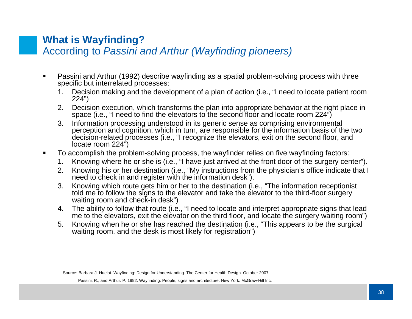#### **What is Wayfinding?**  According to *Passini and Arthur (Wayfinding pioneers)*

- Passini and Arthur (1992) describe wayfinding as a spatial problem-solving process with three specific but interrelated processes:
	- 1. Decision making and the development of a plan of action (i.e., "I need to locate patient room 224")
	- 2. Decision execution, which transforms the plan into appropriate behavior at the right place in space (i.e., "I need to find the elevators to the second floor and locate room 224")
	- 3. Information processing understood in its generic sense as comprising environmental perception and cognition, which in turn, are responsible for the information basis of the two decision-related processes (i.e., "I recognize the elevators, exit on the second floor, and locate room 224")
- To accomplish the problem-solving process, the wayfinder relies on five wayfinding factors:
	- 1. Knowing where he or she is (i.e., "I have just arrived at the front door of the surgery center").
	- 2. Knowing his or her destination (i.e., "My instructions from the physician's office indicate that I need to check in and register with the information desk").
	- 3. Knowing which route gets him or her to the destination (i.e., "The information receptionist told me to follow the signs to the elevator and take the elevator to the third-floor surgery waiting room and check-in desk")
	- 4. The ability to follow that route (i.e., "I need to locate and interpret appropriate signs that lead me to the elevators, exit the elevator on the third floor, and locate the surgery waiting room")
	- 5. Knowing when he or she has reached the destination (i.e., "This appears to be the surgical waiting room, and the desk is most likely for registration")

Source: Barbara J. Huelat. Wayfinding: Design for Understanding. The Center for Health Design. October 2007

Passini, R., and Arthur. P. 1992. Wayfinding: People, signs and architecture. New York: McGraw-Hill Inc.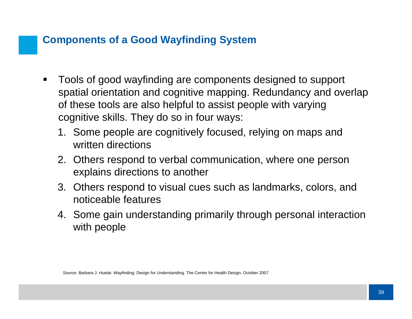## **Components of a Good Wayfinding System**

- $\blacksquare$  Tools of good wayfinding are components designed to support spatial orientation and cognitive mapping. Redundancy and overlap of these tools are also helpful to assist people with varying cognitive skills. They do so in four ways:
	- 1. Some people are cognitively focused, relying on maps and written directions
	- 2. Others respond to verbal communication, where one person explains directions to another
	- 3. Others respond to visual cues such as landmarks, colors, and noticeable features
	- 4. Some gain understanding primarily through personal interaction with people

Source: Barbara J. Huelat. Wayfinding: Design for Understanding. The Center for Health Design. October 2007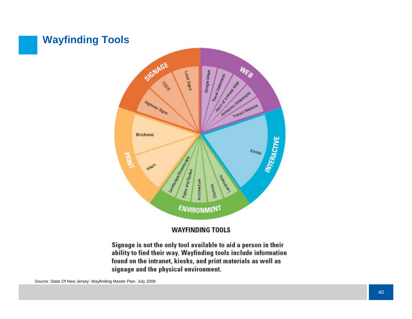## **Wayfinding Tools**



#### **WAYFINDING TOOLS**

Signage is not the only tool available to aid a person in their ability to find their way. Wayfinding tools include information found on the intranet, kiosks, and print materials as well as signage and the physical environment.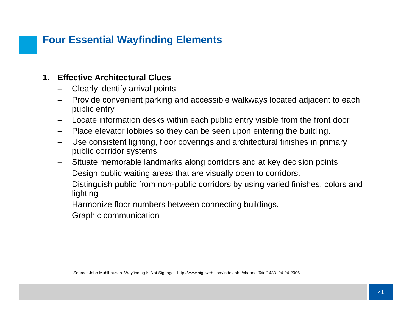## **Four Essential Wayfinding Elements**

#### **1. Effective Architectural Clues**

- Clearly identify arrival points
- Provide convenient parking and accessible walkways located adjacent to each public entry
- Locate information desks within each public entry visible from the front door
- –Place elevator lobbies so they can be seen upon entering the building.
- Use consistent lighting, floor coverings and architectural finishes in primary public corridor systems
- –Situate memorable landmarks along corridors and at key decision points
- Design public waiting areas that are visually open to corridors.
- Distinguish public from non-public corridors by using varied finishes, colors and lighting
- Harmonize floor numbers between connecting buildings.
- Graphic communication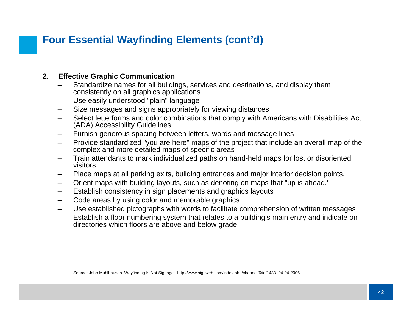## **Four Essential Wayfinding Elements (cont'd)**

#### **2. Effective Graphic Communication**

- – Standardize names for all buildings, services and destinations, and display them consistently on all graphics applications
- –Use easily understood "plain" language
- Size messages and signs appropriately for viewing distances
- – Select letterforms and color combinations that comply with Americans with Disabilities Act (ADA) Accessibility Guidelines
- –Furnish generous spacing between letters, words and message lines
- Provide standardized "you are here" maps of the project that include an overall map of the complex and more detailed maps of specific areas
- Train attendants to mark individualized paths on hand-held maps for lost or disoriented visitors
- –Place maps at all parking exits, building entrances and major interior decision points.
- –Orient maps with building layouts, such as denoting on maps that "up is ahead."
- –Establish consistency in sign placements and graphics layouts
- –Code areas by using color and memorable graphics
- –Use established pictographs with words to facilitate comprehension of written messages
- Establish a floor numbering system that relates to a building's main entry and indicate on directories which floors are above and below grade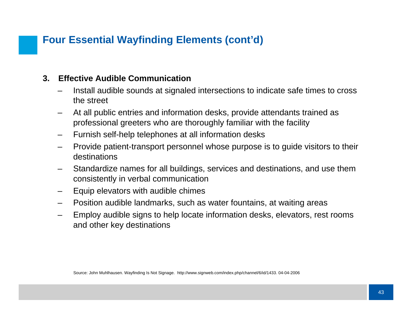## **Four Essential Wayfinding Elements (cont'd)**

#### **3. Effective Audible Communication**

- Install audible sounds at signaled intersections to indicate safe times to cross the street
- – At all public entries and information desks, provide attendants trained as professional greeters who are thoroughly familiar with the facility
- Furnish self-help telephones at all information desks
- Provide patient-transport personnel whose purpose is to guide visitors to their destinations
- – Standardize names for all buildings, services and destinations, and use them consistently in verbal communication
- –Equip elevators with audible chimes
- Position audible landmarks, such as water fountains, at waiting areas
- – Employ audible signs to help locate information desks, elevators, rest rooms and other key destinations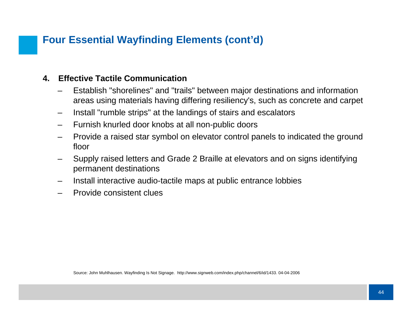## **Four Essential Wayfinding Elements (cont'd)**

#### **4. Effective Tactile Communication**

- Establish "shorelines" and "trails" between major destinations and information areas using materials having differing resiliency's, such as concrete and carpet
- –Install "rumble strips" at the landings of stairs and escalators
- –Furnish knurled door knobs at all non-public doors
- Provide a raised star symbol on elevator control panels to indicated the ground floor
- Supply raised letters and Grade 2 Braille at elevators and on signs identifying permanent destinations
- Install interactive audio-tactile maps at public entrance lobbies
- Provide consistent clues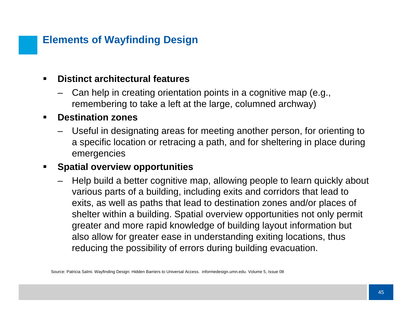## **Elements of Wayfinding Design**

#### $\blacksquare$ **Distinct architectural features**

 Can help in creating orientation points in a cognitive map (e.g., remembering to take a left at the large, columned archway)

#### $\blacksquare$ **Destination zones**

– Useful in designating areas for meeting another person, for orienting to a specific location or retracing a path, and for sheltering in place during emergencies

#### ■ **Spatial overview opportunities**

 Help build a better cognitive map, allowing people to learn quickly about various parts of a building, including exits and corridors that lead to exits, as well as paths that lead to destination zones and/or places of shelter within a building. Spatial overview opportunities not only permit greater and more rapid knowledge of building layout information but also allow for greater ease in understanding exiting locations, thus reducing the possibility of errors during building evacuation.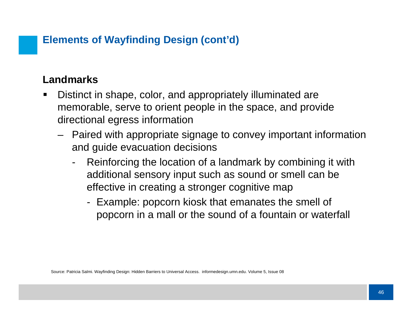## **Elements of Wayfinding Design (cont'd)**

## **Landmarks**

- ш Distinct in shape, color, and appropriately illuminated are memorable, serve to orient people in the space, and provide directional egress information
	- Paired with appropriate signage to convey important information and guide evacuation decisions
		- - Reinforcing the location of a landmark by combining it with additional sensory input such as sound or smell can be effective in creating a stronger cognitive map
			- Example: popcorn kiosk that emanates the smell of popcorn in a mall or the sound of a fountain or waterfall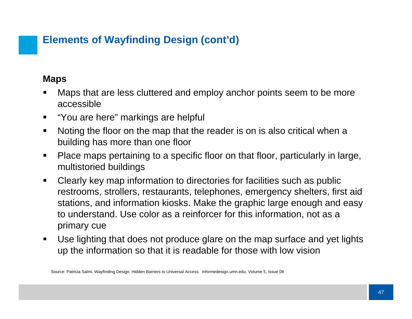## **Elements of Wayfinding Design (cont'd)**

#### **Maps**

- Maps that are less cluttered and employ anchor points seem to be more accessible
- $\blacksquare$ "You are here" markings are helpful
- $\blacksquare$  Noting the floor on the map that the reader is on is also critical when a building has more than one floor
- $\blacksquare$  Place maps pertaining to a specific floor on that floor, particularly in large, multistoried buildings
- $\blacksquare$  Clearly key map information to directories for facilities such as public restrooms, strollers, restaurants, telephones, emergency shelters, first aid stations, and information kiosks. Make the graphic large enough and easy to understand. Use color as a reinforcer for this information, not as a primary cue
- $\blacksquare$  Use lighting that does not produce glare on the map surface and yet lights up the information so that it is readable for those with low vision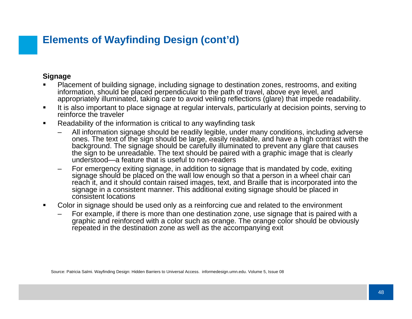## **Elements of Wayfinding Design (cont'd)**

#### **Signage**

- Placement of building signage, including signage to destination zones, restrooms, and exiting information, should be placed perpendicular to the path of travel, above eye level, and appropriately illuminated, taking care to avoid veiling reflections (glare) that impede readability.
- $\blacksquare$  It is also important to place signage at regular intervals, particularly at decision points, serving to reinforce the traveler
- $\blacksquare$  Readability of the information is critical to any wayfinding task
	- All information signage should be readily legible, under many conditions, including adverse ones. The text of the sign should be large, easily readable, and have a high contrast with the background. The signage should be carefully illuminated to prevent any glare that causes the sign to be unreadable. The text should be paired with a graphic image that is clearly understood—a feature that is useful to non-readers
	- For emergency exiting signage, in addition to signage that is mandated by code, exiting signage should be placed on the wall low enough so that a person in a wheel chair can reach it, and it should contain raised images, text, and Braille that is incorporated into the signage in a consistent manner. This additional exiting signage should be placed in consistent locations
- П Color in signage should be used only as a reinforcing cue and related to the environment
	- For example, if there is more than one destination zone, use signage that is paired with a graphic and reinforced with a color such as orange. The orange color should be obviously repeated in the destination zone as well as the accompanying exit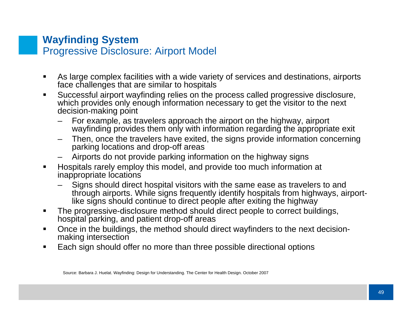### **Wayfinding System** Progressive Disclosure: Airport Model

- $\blacksquare$  As large complex facilities with a wide variety of services and destinations, airports face challenges that are similar to hospitals
- $\blacksquare$  Successful airport wayfinding relies on the process called progressive disclosure, which provides only enough information necessary to get the visitor to the next decision-making point
	- For example, as travelers approach the airport on the highway, airport wayfinding provides them only with information regarding the appropriate exit
	- Then, once the travelers have exited, the signs provide information concerning parking locations and drop-off areas
	- Airports do not provide parking information on the highway signs
- $\blacksquare$  Hospitals rarely employ this model, and provide too much information at inappropriate locations
	- Signs should direct hospital visitors with the same ease as travelers to and through airports. While signs frequently identify hospitals from highways, airportlike signs should continue to direct people after exiting the highway
- $\blacksquare$  The progressive-disclosure method should direct people to correct buildings, hospital parking, and patient drop-off areas
- $\blacksquare$  Once in the buildings, the method should direct wayfinders to the next decisionmaking intersection
- $\blacksquare$ Each sign should offer no more than three possible directional options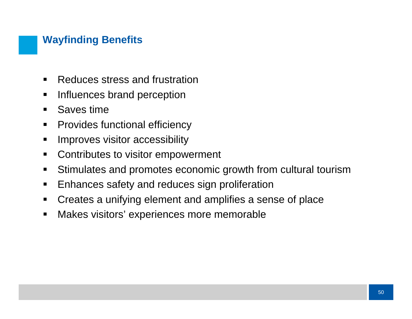## **Wayfinding Benefits**

- $\blacksquare$ Reduces stress and frustration
- $\blacksquare$ Influences brand perception
- $\blacksquare$ Saves time
- $\blacksquare$ Provides functional efficiency
- $\blacksquare$ Improves visitor accessibility
- $\blacksquare$ Contributes to visitor empowerment
- $\blacksquare$ Stimulates and promotes economic growth from cultural tourism
- $\blacksquare$ Enhances safety and reduces sign proliferation
- $\blacksquare$ Creates a unifying element and amplifies a sense of place
- $\blacksquare$ Makes visitors' experiences more memorable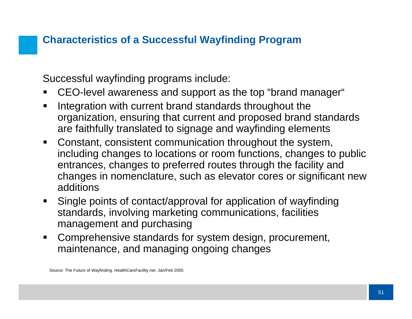## **Characteristics of a Successful Wayfinding Program**

Successful wayfinding programs include:

- П CEO-level awareness and support as the top "brand manager"
- $\blacksquare$  Integration with current brand standards throughout the organization, ensuring that current and proposed brand standards are faithfully translated to signage and wayfinding elements
- $\blacksquare$  Constant, consistent communication throughout the system, including changes to locations or room functions, changes to public entrances, changes to preferred routes through the facility and changes in nomenclature, such as elevator cores or significant new additions
- $\blacksquare$  Single points of contact/approval for application of wayfinding standards, involving marketing communications, facilities management and purchasing
- $\blacksquare$  Comprehensive standards for system design, procurement, maintenance, and managing ongoing changes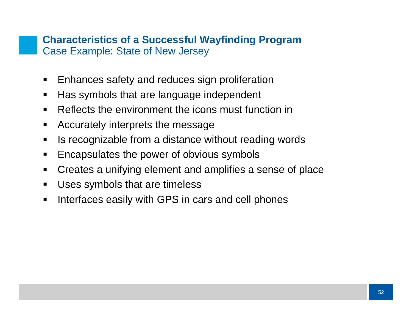#### **Characteristics of a Successful Wayfinding Program**  Case Example: State of New Jersey

- $\blacksquare$ Enhances safety and reduces sign proliferation
- $\blacksquare$ Has symbols that are language independent
- $\blacksquare$ Reflects the environment the icons must function in
- $\blacksquare$ Accurately interprets the message
- $\blacksquare$ Is recognizable from a distance without reading words
- $\blacksquare$ Encapsulates the power of obvious symbols
- $\blacksquare$ Creates a unifying element and amplifies a sense of place
- $\blacksquare$ Uses symbols that are timeless
- $\blacksquare$ Interfaces easily with GPS in cars and cell phones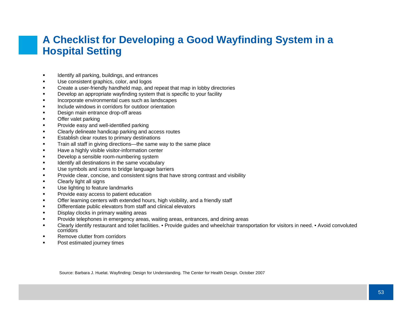### **A Checklist for Developing a Good Wayfinding System in a Hospital Setting**

- $\blacksquare$ Identify all parking, buildings, and entrances
- $\blacksquare$ Use consistent graphics, color, and logos
- П Create a user-friendly handheld map, and repeat that map in lobby directories
- $\blacksquare$ Develop an appropriate wayfinding system that is specific to your facility
- $\blacksquare$ Incorporate environmental cues such as landscapes
- $\blacksquare$ Include windows in corridors for outdoor orientation
- $\blacksquare$ Design main entrance drop-off areas
- $\blacksquare$ Offer valet parking
- $\blacksquare$ Provide easy and well-identified parking
- $\blacksquare$ Clearly delineate handicap parking and access routes
- $\blacksquare$ Establish clear routes to primary destinations
- $\blacksquare$ Train all staff in giving directions—the same way to the same place
- $\blacksquare$ Have a highly visible visitor-information center
- П Develop a sensible room-numbering system
- $\blacksquare$ Identify all destinations in the same vocabulary
- $\blacksquare$ Use symbols and icons to bridge language barriers
- $\blacksquare$ Provide clear, concise, and consistent signs that have strong contrast and visibility
- $\blacksquare$ Clearly light all signs
- $\blacksquare$ Use lighting to feature landmarks
- $\blacksquare$ Provide easy access to patient education
- $\blacksquare$ Offer learning centers with extended hours, high visibility, and a friendly staff
- $\blacksquare$ Differentiate public elevators from staff and clinical elevators
- $\blacksquare$ Display clocks in primary waiting areas
- П Provide telephones in emergency areas, waiting areas, entrances, and dining areas
- $\blacksquare$  Clearly identify restaurant and toilet facilities. • Provide guides and wheelchair transportation for visitors in need. • Avoid convoluted corridors
- п Remove clutter from corridors
- $\blacksquare$ Post estimated journey times

Source: Barbara J. Huelat. Wayfinding: Design for Understanding. The Center for Health Design. October 2007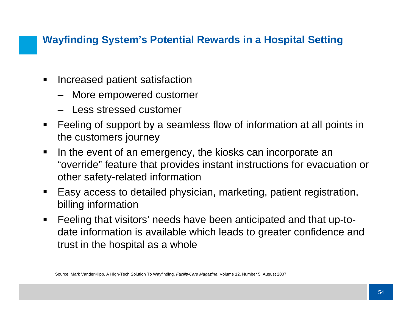## **Wayfinding System's Potential Rewards in a Hospital Setting**

- $\blacksquare$  Increased patient satisfaction
	- More empowered customer
	- Less stressed customer
- $\blacksquare$  Feeling of support by a seamless flow of information at all points in the customers journey
- $\blacksquare$  In the event of an emergency, the kiosks can incorporate an "override" feature that provides instant instructions for evacuation or other safety-related information
- $\blacksquare$  Easy access to detailed physician, marketing, patient registration, billing information
- $\blacksquare$  Feeling that visitors' needs have been anticipated and that up-todate information is available which leads to greater confidence and trust in the hospital as a whole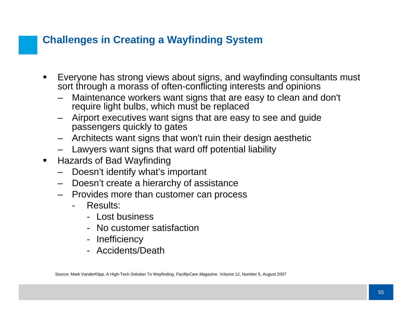## **Challenges in Creating a Wayfinding System**

- $\blacksquare$  Everyone has strong views about signs, and wayfinding consultants must sort through a morass of often-conflicting interests and opinions
	- Maintenance workers want signs that are easy to clean and don't require light bulbs, which must be replaced
	- Airport executives want signs that are easy to see and guide passengers quickly to gates
	- Architects want signs that won't ruin their design aesthetic
	- Lawyers want signs that ward off potential liability
- $\blacksquare$  Hazards of Bad Wayfinding
	- –Doesn't identify what's important
	- Doesn't create a hierarchy of assistance
	- Provides more than customer can process
		- Results:
			- Lost business
			- No customer satisfaction
			- Inefficiency
			- Accidents/Death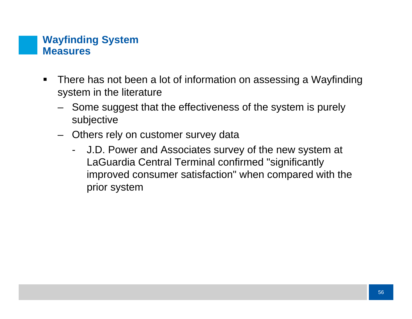### **Wayfinding System Measures**

- $\blacksquare$  There has not been a lot of information on assessing a Wayfinding system in the literature
	- Some suggest that the effectiveness of the system is purely subjective
	- Others rely on customer survey data
		- - J.D. Power and Associates survey of the new system at LaGuardia Central Terminal confirmed "significantly improved consumer satisfaction" when compared with the prior system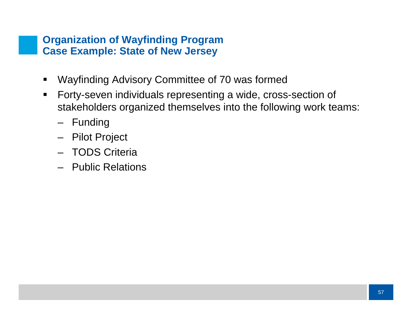#### **Organization of Wayfinding Program Case Example: State of New Jersey**

- $\blacksquare$ Wayfinding Advisory Committee of 70 was formed
- $\blacksquare$  Forty-seven individuals representing a wide, cross-section of stakeholders organized themselves into the following work teams:
	- Funding
	- Pilot Project
	- TODS Criteria
	- Public Relations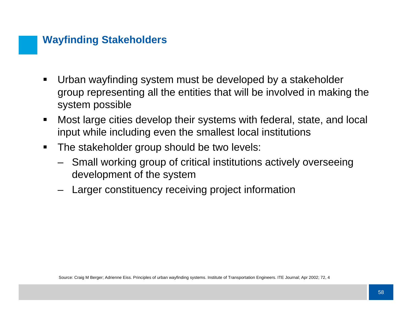### **Wayfinding Stakeholders**

- $\blacksquare$  Urban wayfinding system must be developed by a stakeholder group representing all the entities that will be involved in making the system possible
- $\blacksquare$  Most large cities develop their systems with federal, state, and local input while including even the smallest local institutions
- $\blacksquare$  The stakeholder group should be two levels:
	- Small working group of critical institutions actively overseeing development of the system
	- Larger constituency receiving project information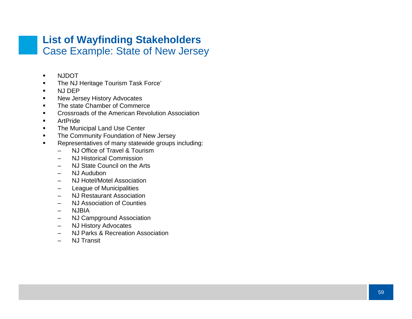#### **List of Wayfinding Stakeholders** Case Example: State of New Jersey

- $\blacksquare$ N.IDOT
- The NJ Heritage Tourism Task Force'
- $\blacksquare$ NJ DEP
- $\blacksquare$ New Jersey History Advocates
- The state Chamber of Commerce
- Crossroads of the American Revolution Association
- $\blacksquare$ ArtPride
- $\blacksquare$ The Municipal Land Use Center
- $\blacksquare$ The Community Foundation of New Jersey
- $\blacksquare$  Representatives of many statewide groups including:
	- $\sim$ NJ Office of Travel & Tourism
	- –NJ Historical Commission
	- –NJ State Council on the Arts
	- –NJ Audubon
	- –NJ Hotel/Motel Association
	- –League of Municipalities
	- $\equiv$ NJ Restaurant Association
	- –NJ Association of Counties
	- –NJBIA
	- –NJ Campground Association
	- –NJ History Advocates
	- $\overline{\phantom{0}}$ NJ Parks & Recreation Association
	- –NJ Transit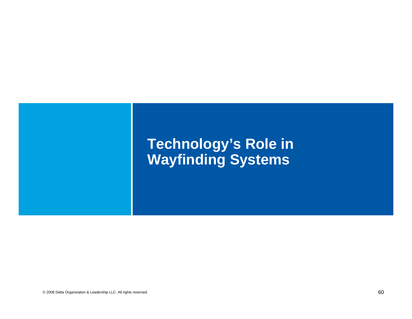# **Technology's Role in Wayfinding Systems**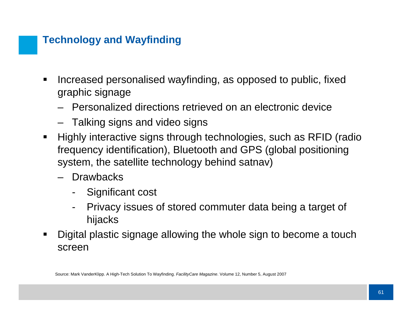## **Technology and Wayfinding**

- $\blacksquare$  Increased personalised wayfinding, as opposed to public, fixed graphic signage
	- Personalized directions retrieved on an electronic device
	- Talking signs and video signs
- $\blacksquare$  Highly interactive signs through technologies, such as RFID (radio frequency identification), Bluetooth and GPS (global positioning system, the satellite technology behind satnav)
	- Drawbacks
		- -Significant cost
		- - Privacy issues of stored commuter data being a target of hijacks
- п Digital plastic signage allowing the whole sign to become a touch screen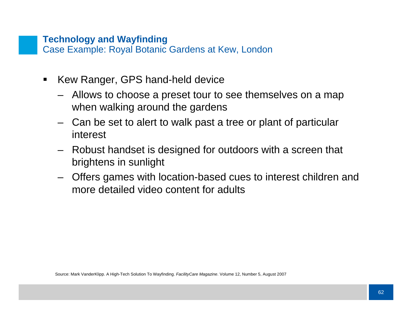#### **Technology and Wayfinding**

Case Example: Royal Botanic Gardens at Kew, London

- $\blacksquare$  Kew Ranger, GPS hand-held device
	- Allows to choose a preset tour to see themselves on a map when walking around the gardens
	- Can be set to alert to walk past a tree or plant of particular interest
	- Robust handset is designed for outdoors with a screen that brightens in sunlight
	- Offers games with location-based cues to interest children and more detailed video content for adults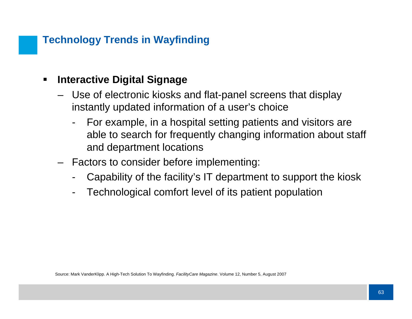## **Technology Trends in Wayfinding**

#### $\blacksquare$ **Interactive Digital Signage**

- Use of electronic kiosks and flat-panel screens that display instantly updated information of a user's choice
	- For example, in a hospital setting patients and visitors are able to search for frequently changing information about staff and department locations
- Factors to consider before implementing:
	- -Capability of the facility's IT department to support the kiosk
	- -Technological comfort level of its patient population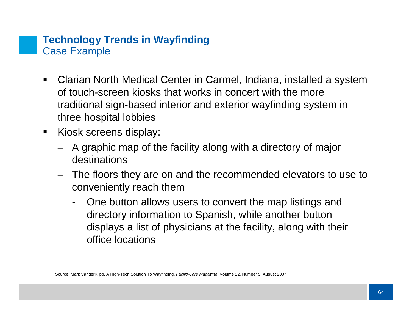### **Technology Trends in Wayfinding**  Case Example

- $\blacksquare$  Clarian North Medical Center in Carmel, Indiana, installed a system of touch-screen kiosks that works in concert with the more traditional sign-based interior and exterior wayfinding system in three hospital lobbies
- $\blacksquare$  Kiosk screens display:
	- A graphic map of the facility along with a directory of major destinations
	- The floors they are on and the recommended elevators to use to conveniently reach them
		- - One button allows users to convert the map listings and directory information to Spanish, while another button displays a list of physicians at the facility, along with their office locations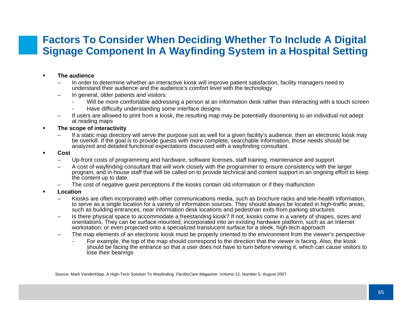### **Factors To Consider When Deciding Whether To Include A Digital Signage Component In A Wayfinding System in a Hospital Setting**

#### П **The audience**

- – In order to determine whether an interactive kiosk will improve patient satisfaction, facility managers need to understand their audience and the audience's comfort level with the technology
- – In general, older patients and visitors:
	- -Will be more comfortable addressing a person at an information desk rather than interacting with a touch screen
	- -Have difficulty understanding some interface designs
- – If users are allowed to print from a kiosk, the resulting map may be potentially disorienting to an individual not adept at reading maps
- П **The scope of interactivity**
	- – If a static map directory will serve the purpose just as well for a given facility's audience, then an electronic kiosk may be overkill. If the goal is to provide guests with more complete, searchable information, those needs should be analyzed and detailed functional expectations discussed with a wayfinding consultant.
- П **Cost**
	- –Up-front costs of programming and hardware, software licenses, staff training, maintenance and support
	- – A cost of wayfinding consultant that will work closely with the programmer to ensure consistency with the larger program, and in-house staff that will be called on to provide technical and content support in an ongoing effort to keep the content up to date.
	- –The cost of negative guest perceptions if the kiosks contain old information or if they malfunction
- П **Location**
	- – Kiosks are often incorporated with other communications media, such as brochure racks and tele-health information, to serve as a single location for a variety of information sources. They should always be located in high-traffic areas, such as building entrances, near information desk locations and pedestrian exits from parking structures
	- – Is there physical space to accommodate a freestanding kiosk? If not, kiosks come in a variety of shapes, sizes and orientations. They can be surface-mounted; incorporated into an existing hardware platform, such as an Internet workstation; or even projected onto a specialized translucent surface for a sleek, high-tech approach
	- – The map elements of an electronic kiosk must be properly oriented to the environment from the viewer's perspective
		- - For example, the top of the map should correspond to the direction that the viewer is facing. Also, the kiosk should be facing the entrance so that a user does not have to turn before viewing it, which can cause visitors to lose their bearings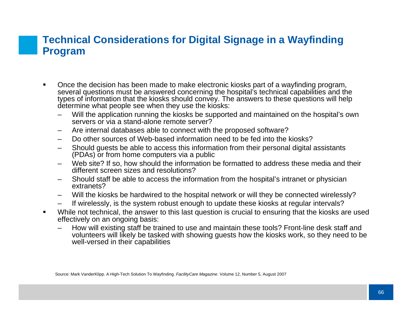### **Technical Considerations for Digital Signage in a Wayfinding Program**

- $\blacksquare$  Once the decision has been made to make electronic kiosks part of a wayfinding program, several questions must be answered concerning the hospital's technical capabilities and the types of information that the kiosks should convey. The answers to these questions will help determine what people see when they use the kiosks:
	- – Will the application running the kiosks be supported and maintained on the hospital's own servers or via a stand-alone remote server?
	- –Are internal databases able to connect with the proposed software?
	- Do other sources of Web-based information need to be fed into the kiosks?
	- Should guests be able to access this information from their personal digital assistants (PDAs) or from home computers via a public
	- – Web site? If so, how should the information be formatted to address these media and their different screen sizes and resolutions?
	- – Should staff be able to access the information from the hospital's intranet or physician extranets?
	- Will the kiosks be hardwired to the hospital network or will they be connected wirelessly?
	- If wirelessly, is the system robust enough to update these kiosks at regular intervals?
- $\blacksquare$  While not technical, the answer to this last question is crucial to ensuring that the kiosks are used effectively on an ongoing basis:
	- How will existing staff be trained to use and maintain these tools? Front-line desk staff and volunteers will likely be tasked with showing guests how the kiosks work, so they need to be well-versed in their capabilities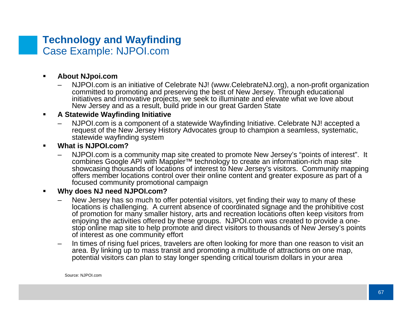#### **Technology and Wayfinding**  Case Example: NJPOI.com

- $\blacksquare$  **About NJpoi.com**
	- – NJPOI.com is an initiative of Celebrate NJ! (www.CelebrateNJ.org), a non-profit organization committed to promoting and preserving the best of New Jersey. Through educational initiatives and innovative projects, we seek to illuminate and elevate what we love about New Jersey and as a result, build pride in our great Garden State

#### П **A Statewide Wayfinding Initiative**

– NJPOI.com is a component of a statewide Wayfinding Initiative. Celebrate NJ! accepted a request of the New Jersey History Advocates group to champion a seamless, systematic, statewide wayfinding system

#### ■ **What is NJPOI.com?**

 NJPOI.com is a community map site created to promote New Jersey's "points of interest". It combines Google API with Mappler™ technology to create an information-rich map site showcasing thousands of locations of interest to New Jersey's visitors. Community mapping offers member locations control over their online content and greater exposure as part of a focused community promotional campaign

#### **Why does NJ need NJPOI.com?**

- New Jersey has so much to offer potential visitors, yet finding their way to many of these locations is challenging. A current absence of coordinated signage and the prohibitive cost of promotion for many smaller history, arts and recreation locations often keep visitors from enjoying the activities offered by these groups. NJPOI.com was created to provide a onestop online map site to help promote and direct visitors to thousands of New Jersey's points of interest as one community effort
- In times of rising fuel prices, travelers are often looking for more than one reason to visit an area. By linking up to mass transit and promoting a multitude of attractions on one map, potential visitors can plan to stay longer spending critical tourism dollars in your area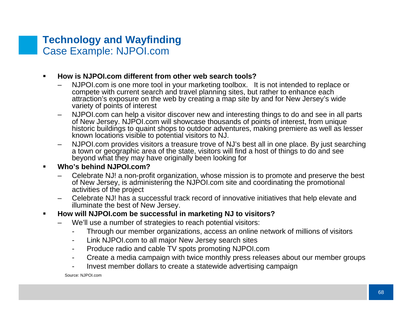#### **Technology and Wayfinding**  Case Example: NJPOI.com

#### **How is NJPOI.com different from other web search tools?**

- – NJPOI.com is one more tool in your marketing toolbox. It is not intended to replace or compete with current search and travel planning sites, but rather to enhance each attraction's exposure on the web by creating a map site by and for New Jersey's wide variety of points of interest
- – NJPOI.com can help a visitor discover new and interesting things to do and see in all parts of New Jersey. NJPOI.com will showcase thousands of points of interest, from unique historic buildings to quaint shops to outdoor adventures, making premiere as well as lesser known locations visible to potential visitors to NJ.
- NJPOI.com provides visitors a treasure trove of NJ's best all in one place. By just searching a town or geographic area of the state, visitors will find a host of things to do and see beyond what they may have originally been looking for

#### П **Who's behind NJPOI.com?**

- – Celebrate NJ! a non-profit organization, whose mission is to promote and preserve the best of New Jersey, is administering the NJPOI.com site and coordinating the promotional activities of the project
- – Celebrate NJ! has a successful track record of innovative initiatives that help elevate and illuminate the best of New Jersey.
- **How will NJPOI.com be successful in marketing NJ to visitors?**
	- We'll use a number of strategies to reach potential visitors:
		- -Through our member organizations, access an online network of millions of visitors
		- -Link NJPOI.com to all major New Jersey search sites
		- -Produce radio and cable TV spots promoting NJPOI.com
		- -Create a media campaign with twice monthly press releases about our member groups
		- -Invest member dollars to create a statewide advertising campaign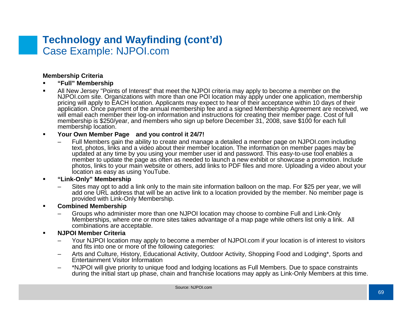#### **Technology and Wayfinding (cont'd)** Case Example: NJPOI.com

#### **Membership Criteria**

- **"Full" Membership**
- All New Jersey "Points of Interest" that meet the NJPOI criteria may apply to become a member on the NJPOI.com site. Organizations with more than one POI location may apply under one application, membership pricing will apply to EACH location. Applicants may expect to hear of their acceptance within 10 days of their application. Once payment of the annual membership fee and a signed Membership Agreement are received, we<br>will email each member their log-on information and instructions for creating their member page. Cost of full membership is \$250/year, and members who sign up before December 31, 2008, save \$100 for each full membership location.

#### $\blacksquare$ **Your Own Member Page and you control it 24/7!**

 Full Members gain the ability to create and manage a detailed a member page on NJPOI.com including text, photos, links and a video about their member location. The information on member pages may be updated at any time by you using your member user id and password. This easy-to-use tool enables a member to update the page as often as needed to launch a new exhibit or showcase a promotion. Include photos, links to your main website or others, add links to PDF files and more. Uploading a video about your location as easy as using YouTube.

#### $\blacksquare$ **"Link-Only" Membership**

 Sites may opt to add a link only to the main site information balloon on the map. For \$25 per year, we will add one URL address that will be an active link to a location provided by the member. No member page is provided with Link-Only Membership.

#### ■ **Combined Membership**

– Groups who administer more than one NJPOI location may choose to combine Full and Link-Only Memberships, where one or more sites takes advantage of a map page while others list only a link. All combinations are acceptable.

#### $\blacksquare$ **NJPOI Member Criteria**

- – Your NJPOI location may apply to become a member of NJPOI.com if your location is of interest to visitors and fits into one or more of the following categories:
- – Arts and Culture, History, Educational Activity, Outdoor Activity, Shopping Food and Lodging\*, Sports and Entertainment Visitor Information
- – \*NJPOI will give priority to unique food and lodging locations as Full Members. Due to space constraints during the initial start up phase, chain and franchise locations may apply as Link-Only Members at this time.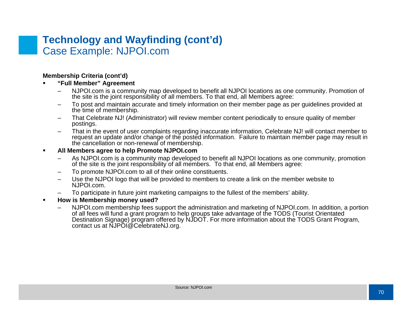### **Technology and Wayfinding (cont'd)** Case Example: NJPOI.com

### **Membership Criteria (cont'd)**

- n **"Full Member" Agreement**
	- – NJPOI.com is a community map developed to benefit all NJPOI locations as one community. Promotion of the site is the joint responsibility of all members. To that end, all Members agree:
	- To post and maintain accurate and timely information on their member page as per guidelines provided at the time of membership.
	- – That Celebrate NJ! (Administrator) will review member content periodically to ensure quality of member postings.
	- That in the event of user complaints regarding inaccurate information, Celebrate NJ! will contact member to request an update and/or change of the posted information. Failure to maintain member page may result in the cancellation or non-renewal of membership.

#### $\blacksquare$ **All Members agree to help Promote NJPOI.com**

- – As NJPOI.com is a community map developed to benefit all NJPOI locations as one community, promotion of the site is the joint responsibility of all members. To that end, all Members agree:
- –To promote NJPOI.com to all of their online constituents.
- Use the NJPOI logo that will be provided to members to create a link on the member website to NJPOI.com.
- –To participate in future joint marketing campaigns to the fullest of the members' ability.
- **How is Membership money used?**
	- –NJPOI.com membership fees support the administration and marketing of NJPOI.com. In addition, a portion of all fees will fund a grant program to help groups take advantage of the TODS (Tourist Orientated Destination Signage) program offered by NJDOT. For more information about the TODS Grant Program, contact us at NJPOI@CelebrateNJ.org.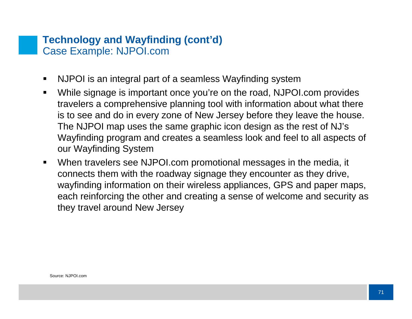### **Technology and Wayfinding (cont'd)** Case Example: NJPOI.com

- $\blacksquare$ NJPOI is an integral part of a seamless Wayfinding system
- $\blacksquare$  While signage is important once you're on the road, NJPOI.com provides travelers a comprehensive planning tool with information about what there is to see and do in every zone of New Jersey before they leave the house. The NJPOI map uses the same graphic icon design as the rest of NJ's Wayfinding program and creates a seamless look and feel to all aspects of our Wayfinding System
- $\blacksquare$  When travelers see NJPOI.com promotional messages in the media, it connects them with the roadway signage they encounter as they drive, wayfinding information on their wireless appliances, GPS and paper maps, each reinforcing the other and creating a sense of welcome and security as they travel around New Jersey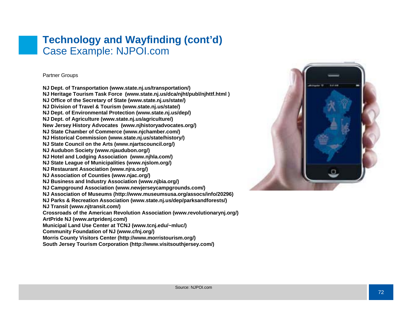### **Technology and Wayfinding (cont'd)** Case Example: NJPOI.com

### Partner Groups

**NJ Dept. of Transportation (www.state.nj.us/transportation/) NJ Heritage Tourism Task Force (www.state.nj.us/dca/njht/publ/njhttf.html ) NJ Office of the Secretary of State (www.state.nj.us/state/) NJ Division of Travel & Tourism (www.state.nj.us/state/) NJ Dept. of Environmental Protection (www.state.nj.us/dep/) NJ Dept. of Agriculture (www.state.nj.us/agriculture/) New Jersey History Advocates (www.njhistoryadvocates.org/) NJ State Chamber of Commerce (www.njchamber.com/) NJ Historical Commission (www.state.nj.us/state/history/) NJ State Council on the Arts (www.njartscouncil.org/) NJ Audubon Society (www.njaudubon.org/) NJ Hotel and Lodging Association (www.njhla.com/) NJ State League of Municipalities (www.njslom.org/) NJ Restaurant Association (www.njra.org/) NJ Association of Counties (www.njac.org/) NJ Busines s and Industry Association (www.njbia.org/) NJ Campground Association (www.newjerseycampgrounds.com/) NJ Association of Museums (http://www.museumsusa.org/assocs/info/20296) NJ Parks & Recreation Association (www.state.nj.us/dep/parksandforests/) NJ Transit (www.njtransit.com/) Cros sroads of the American Revolution Association (www.revolutionarynj.org/) ArtPride NJ (www.artpridenj.com/) Municipal Land Use Center at TCNJ (www.tcnj.edu/~mluc/) Community Foundation of NJ (www.cfnj.org/) Morris County Visitors Center (http://www.morristourism.org/) South Jersey Tourism Corporation (http://www.visitsouthjersey.com/)** 

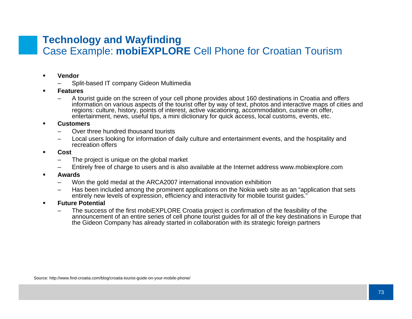### **Technology and Wayfinding**  Case Example: **mobiEXPLORE** Cell Phone for Croatian Tourism

- n **Vendor**
	- –Split-based IT company Gideon Multimedia
- **Features**
	- – A tourist guide on the screen of your cell phone provides about 160 destinations in Croatia and offers information on various aspects of the tourist offer by way of text, photos and interactive maps of cities and regions: culture, history, points of interest, active vacationing, accommodatio n, cuisine on offer, entertainment, news, useful tips, a mini dictionary for quick access, local customs, events, etc.
- n **Customers**
	- Over three hundred thousand tourists
	- – Local users looking for information of daily culture and entertainment events, and the hospitality and recreation offers
- n **Cost**
	- –The project is unique on the global market
	- –Entirely free of charge to users and is also available at the Internet address www.mobiexplore.com
- **Awards**
	- –Won the gold medal at the ARCA2007 international innovation exhibition
	- – Has been included among the prominent applications on the Nokia web site as an "application that sets entirely new levels of expression, efficiency and interactivity for mobile tourist guides."
- $\blacksquare$  **Future Potential**
	- – The success of the first mobiEXPLORE Croatia project is confirmation of the feasibility of the announcement of an entire series of cell phone tourist guides for all of the key destinations in Europe that the Gideon Company has already started in collaboration with its strategic foreign partners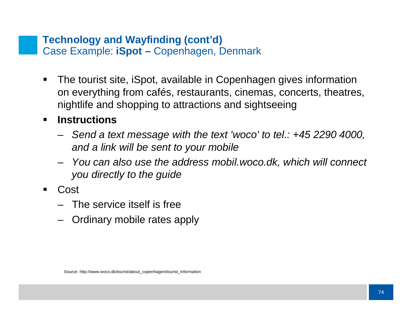### **Technology and Wayfinding (cont'd)** Case Example: **iSpot –** Copenhagen, Denmark

 $\blacksquare$  The tourist site, iSpot, available in Copenhagen gives information on everything from cafés, restaurants, cinemas, concerts, theatres, nightlife and shopping to attractions and sightseeing

### $\blacksquare$ **Instructions**

- *Send a text message with the text 'woco' to tel.: +45 2290 4000, and a link will be sent to your mobile*
- *You can also use the address mobil.woco.dk, which will connect you directly to the guide*
- ш Cost
	- The service itself is free
	- Ordinary mobile rates apply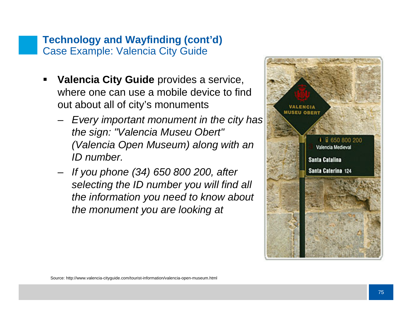## **Technology and Wayfinding (cont'd)** Case Example: Valencia City Guide

- П **Valencia City Guide** provides a service, where one can use a mobile device to find out about all of city's monuments
	- *Every important monument in the city has the sign: "Valencia Museu Obert" (Valencia Open Museum) along with an ID number.*
	- *If you phone (34) 650 800 200, after selecting the ID number you will find all the information you need to know about the monument you are looking at*

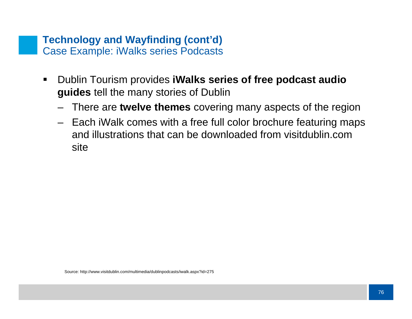### **Technology and Wayfinding (cont'd)** Case Example: iWalks series Podcasts

- $\blacksquare$  Dublin Tourism provides **iWalks series of free podcast audio guides** tell the many stories of Dublin
	- There are **twelve themes** covering many aspects of the region
	- Each iWalk comes with a free full color brochure featuring maps and illustrations that can be downloaded from visitdublin.comsite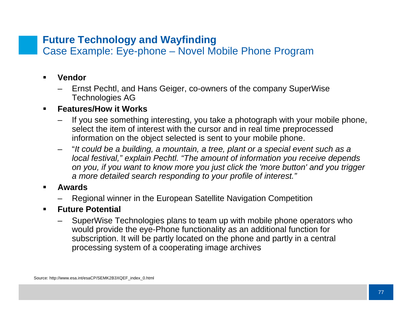## **Future Technology and Wayfinding**

Case Example: Eye-phone – Novel Mobile Phone Program

- $\blacksquare$  **Vendor**
	- Ernst Pechtl, and Hans Geiger, co-owners of the company SuperWise Technologies AG

### $\blacksquare$ **Features/How it Works**

- If you see something interesting, you take a photograph with your mobile phone, select the item of interest with the cursor and in real time preprocessed information on the object selected is sent to your mobile phone.
- "*It could be a building, a mountain, a tree, plant or a special event such as a local festival," explain Pechtl. "The amount of information you receive depends on you, if you want to know more you just click the 'more button' and you trigger a more detailed search responding to your profile of interest."*
- **Awards**
	- Regional winner in the European Satellite Navigation Competition
- $\blacksquare$  **Future Potential**
	- SuperWise Technologies plans to team up with mobile phone operators who would provide the eye-Phone functionality as an additional function for subscription. It will be partly located on the phone and partly in a central processing system of a cooperating image archives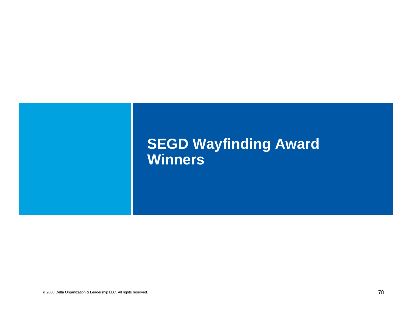# **SEGD Wayfinding Award Winners**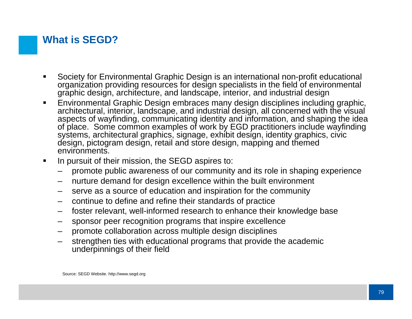## **What is SEGD?**

- Society for Environmental Graphic Design is an international non-profit educational organization providing resources for design specialists in the field of environmental graphic design, architecture, and landscape, interior, and industrial design
- $\blacksquare$  Environmental Graphic Design embraces many design disciplines including graphic, architectural, interior, landscape, and industrial design, all concerned with the visual aspects of wayfinding, communicating identity and information, and shaping the idea of place. Some common examples of work by EGD practitioners include wayfinding systems, architectural graphics, signage, exhibit design, identity graphics, civic design, pictogram design, retail and store design, mapping and themed environments.
- $\blacksquare$ In pursuit of their mission, the SEGD aspires to:
	- promote public awareness of our community and its role in shaping experience
	- –nurture demand for design excellence within the built environment
	- –serve as a source of education and inspiration for the community
	- –continue to define and refine their standards of practice
	- –foster relevant, well-informed research to enhance their knowledge base
	- –sponsor peer recognition programs that inspire excellence
	- promote collaboration across multiple design disciplines
	- strengthen ties with educational programs that provide the academic underpinnings of their field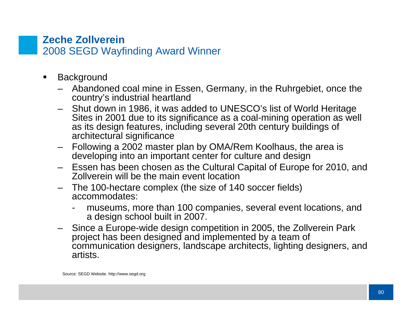### **Zeche Zollverein** 2008 SEGD Wayfinding Award Winner

- $\blacksquare$ **Background** 
	- Abandoned coal mine in Essen, Germany, in the Ruhrgebiet, once the country's industrial heartland
	- Shut down in 1986, it was added to UNESCO's list of World Heritage Sites in 2001 due to its significance as a coal-mining operation as well as its design features, including several 20th century buildings of architectural significance
	- Following a 2002 master plan by OMA/Rem Koolhaus, the area is developing into an important center for culture and design
	- – Essen has been chosen as the Cultural Capital of Europe for 2010, and Zollverein will be the main event location
	- The 100-hectare complex (the size of 140 soccer fields) accommodates:
		- museums, more than 100 companies, several event locations, and a design school built in 2007.
	- Since a Europe-wide design competition in 2005, the Zollverein Park project has been designed and implemented by a team of communication designers, landscape architects, lighting designers, and artists.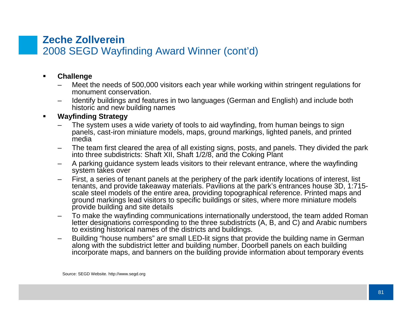### **Zeche Zollverein** 2008 SEGD Wayfinding Award Winner (cont'd)

#### $\blacksquare$ **Challenge**

- – Meet the needs of 500,000 visitors each year while working within stringent regulations for monument conservation.
- – Identify buildings and features in two languages (German and English) and include both historic and new building names

### $\blacksquare$ **Wayfinding Strategy**

- The system uses a wide variety of tools to aid wayfinding, from human beings to sign panels, cast-iron miniature models, maps, ground markings, lighted panels, and printed media
- The team first cleared the area of all existing signs, posts, and panels. They divided the park into three subdistricts: Shaft XII, Shaft 1/2/8, and the Coking Plant
- – A parking guidance system leads visitors to their relevant entrance, where the wayfinding system takes over
- – First, a series of tenant panels at the periphery of the park identify locations of interest, list tenants, and provide takeaway materials. Pavilions at the park's entrances house 3D, 1:715 scale steel models of the entire area, providing topographical reference. Printed maps and ground markings lead visitors to specific buildings or sites, where more miniature models provide building and site details
- – To make the wayfinding communications internationally understood, the team added Roman letter designations corresponding to the three subdistricts (A, B, and C) and Arabic numbers to existing historical names of the districts and buildings.
- – Building "house numbers" are small LED-lit signs that provide the building name in German along with the subdistrict letter and building number. Doorbell panels on each building incorporate maps, and banners on the building provide information about temporary events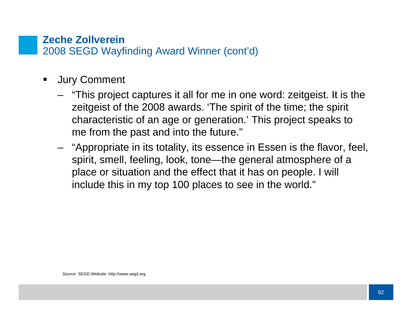### **Zeche Zollverein** 2008 SEGD Wayfinding Award Winner (cont'd)

- $\blacksquare$  Jury Comment
	- "This project captures it all for me in one word: zeitgeist. It is the zeitgeist of the 2008 awards. 'The spirit of the time; the spirit characteristic of an age or generation.' This project speaks to me from the past and into the future."
	- "Appropriate in its totality, its essence in Essen is the flavor, feel, spirit, smell, feeling, look, tone—the general atmosphere of a place or situation and the effect that it has on people. I will include this in my top 100 places to see in the world."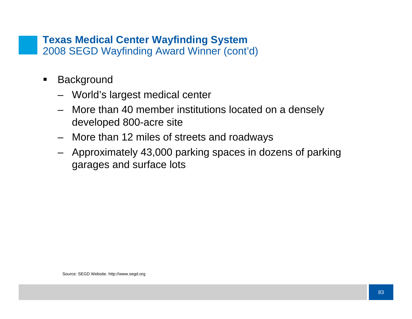### **Texas Medical Center Wayfinding System** 2008 SEGD Wayfinding Award Winner (cont'd)

- $\blacksquare$ **Background** 
	- World's largest medical center
	- More than 40 member institutions located on a densely developed 800-acre site
	- More than 12 miles of streets and roadways
	- Approximately 43,000 parking spaces in dozens of parking garages and surface lots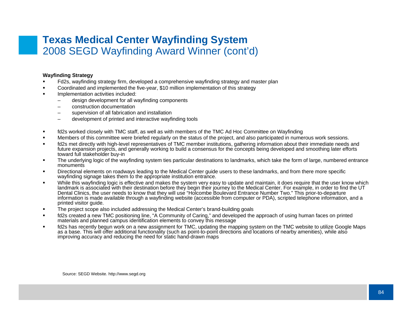### **Texas Medical Center Wayfinding System** 2008 SEGD Wayfinding Award Winner (cont'd)

### **Wayfinding Strategy**

- П Fd2s, wayfinding strategy firm, developed a comprehensive wayfinding strategy and master plan
- П Coordinated and implemented the five-year, \$10 million implementation of this strategy
- Implementation activities included:
	- –design development for all wayfinding components
	- construction documentation
	- supervision of all fabrication and installation
	- –development of printed and interactive wayfinding tools
- $\blacksquare$ fd2s worked closely with TMC staff, as well as with members of the TMC Ad Hoc Committee on Wayfinding
- П Members of this committee were briefed regularly on the status of the project, and also participated in numerous work sessions.
- П fd2s met directly with high-level representatives of TMC member institutions, gathering information about their immediate needs and future expansion projects, and generally working to build a consensus for the concepts being developed and smoothing later efforts toward full stakeholder buy-in
- $\blacksquare$  The underlying logic of the wayfinding system ties particular destinations to landmarks, which take the form of large, numbered entrance monuments
- П Directional elements on roadways leading to the Medical Center guide users to these landmarks, and from there more specific wayfinding signage takes them to the appropriate institution entrance.
- П While this wayfinding logic is effective and makes the system very easy to update and maintain, it does require that the user know which landmark is associated with their destination before they begin their journey to the Medical Center. For example, in order to find the UT Dental Clinics, the user needs to know that they will use "Holcombe Boulevard Entrance Number Two." This prior-to-departure information is made available through a wayfinding website (accessible from computer or PDA), scripted telephone information, and a printed visitor guide.
- $\blacksquare$ The project scope also included addressing the Medical Center's brand-building goals
- $\blacksquare$  fd2s created a new TMC positioning line, "A Community of Caring," and developed the approach of using human faces on printed materials and planned campus identification elements to convey this message
- $\blacksquare$  fd2s has recently begun work on a new assignment for TMC, updating the mapping system on the TMC website to utilize Google Maps as a base. This will offer additional functionality (such as point-to-point directions and locations of nearby amenities), while also improving accuracy and reducing the need for static hand-drawn maps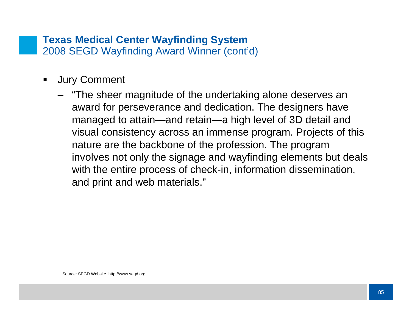### **Texas Medical Center Wayfinding System** 2008 SEGD Wayfinding Award Winner (cont'd)

- $\blacksquare$  Jury Comment
	- "The sheer magnitude of the undertaking alone deserves an award for perseverance and dedication. The designers have managed to attain—and retain—a high level of 3D detail and visual consistency across an immense program. Projects of this nature are the backbone of the profession. The program involves not only the signage and wayfinding elements but deals with the entire process of check-in, information dissemination, and print and web materials."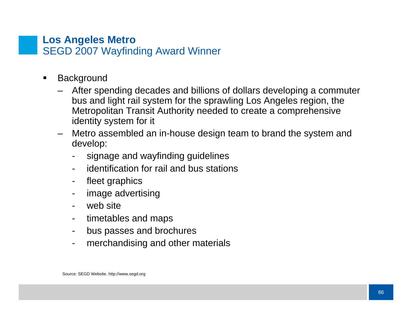### **Los Angeles Metro** SEGD 2007 Wayfinding Award Winner

- $\blacksquare$ **Background** 
	- After spending decades and billions of dollars developing a commuter bus and light rail system for the sprawling Los Angeles region, the Metropolitan Transit Authority needed to create a comprehensive identity system for it
	- Metro assembled an in-house design team to brand the system and develop:
		- signage and wayfinding guidelines
		- identification for rail and bus stations
		- fleet graphics
		- image advertising
		- web site
		- timetables and maps
		- bus passes and brochures
		- merchandising and other materials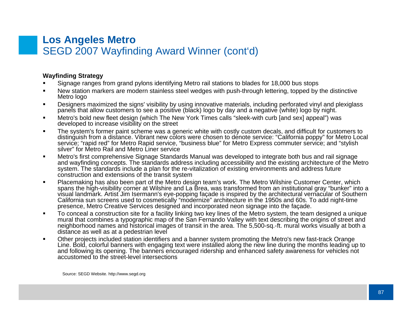### **Los Angeles Metro** SEGD 2007 Wayfinding Award Winner (cont'd)

### **Wayfinding Strategy**

- n Signage ranges from grand pylons identifying Metro rail stations to blades for 18,000 bus stops
- New station markers are modern stainless steel wedges with push-through lettering, topped by the distinctive Metro logo
- $\blacksquare$  Designers maximized the signs' visibility by using innovative materials, including perforated vinyl and plexiglass panels that allow customers to see a positive (black) logo by day and a negative (white) logo by night.
- $\blacksquare$  Metro's bold new fleet design (which The New York Times calls "sleek-with curb [and sex] appeal") was developed to increase visibility on the street
- $\blacksquare$  The system's former paint scheme was a generic white with costly custom decals, and difficult for customers to distinguish from a distance. Vibrant new colors were chosen to denote service: "California poppy" for Metro Local service; "rapid red" for Metro Rapid service, "business blue" for Metro Express commuter service; and "stylish silver" for Metro Rail and Metro Liner service
- $\blacksquare$  Metro's first comprehensive Signage Standards Manual was developed to integrate both bus and rail signage and wayfinding concepts. The standards address including accessibility and the existing architecture of the Metro system. The standards include a plan for the re-vitalization of existing environments and address future construction and extensions of the transit system
- $\blacksquare$  Placemaking has also been part of the Metro design team's work. The Metro Wilshire Customer Center, which spans the high-visibility corner at Wilshire and La Brea, was transformed from an institutional gray "bunker" into a<br>visual landmark. Artist Jim Isermann's eye-popping facade is inspired by the architectural vernacular of California sun screens used to cosmetically "modernize" architecture in the 1950s and 60s. To add night-time presence, Metro Creative Services designed and incorporated neon signage into the façade.
- $\blacksquare$  To conceal a construction site for a facility linking two key lines of the Metro system, the team designed a unique mural that combines a typographic map of the San Fernando Valley with text describing the origins of street and neighborhood names and historical images of transit in the area. The 5,500-sq.-ft. mural works visually at both a distance as well as at a pedestrian level
- $\blacksquare$  Other projects included station identifiers and a banner system promoting the Metro's new fast-track Orange Line. Bold, colorful banners with engaging text were installed along the new line during the months leading up to and following its opening. The banners encouraged ridership and enhanced safety awareness for vehicles not accustomed to the street-level intersections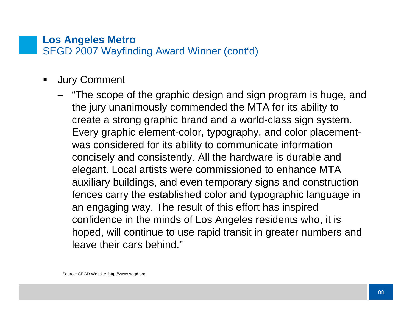### **Los Angeles Metro** SEGD 2007 Wayfinding Award Winner (cont'd)

- $\blacksquare$  Jury Comment
	- "The scope of the graphic design and sign program is huge, and the jury unanimously commended the MTA for its ability to create a strong graphic brand and a world-class sign system. Every graphic element-color, typography, and color placementwas considered for its ability to communicate information concisely and consistently. All the hardware is durable and elegant. Local artists were commissioned to enhance MTA auxiliary buildings, and even temporary signs and construction fences carry the established color and typographic language in an engaging way. The result of this effort has inspired confidence in the minds of Los Angeles residents who, it is hoped, will continue to use rapid transit in greater numbers and leave their cars behind."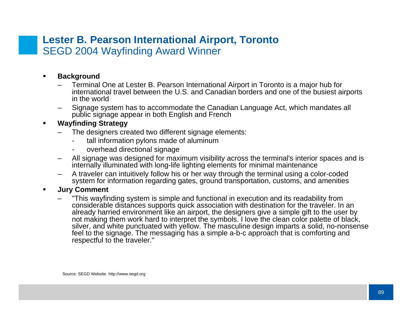### **Lester B. Pearson International Airport, Toronto** SEGD 2004 Wayfinding Award Winner

#### $\blacksquare$ **Background**

- – Terminal One at Lester B. Pearson International Airport in Toronto is a major hub for international travel between the U.S. and Canadian borders and one of the busiest airports in the world
- – Signage system has to accommodate the Canadian Language Act, which mandates all public signage appear in both English and French

### $\blacksquare$ **Wayfinding Strategy**

- The designers created two different signage elements:
	- tall information pylons made of aluminum
	- overhead directional signage
- All signage was designed for maximum visibility across the terminal's interior spaces and is internally illuminated with long-life lighting elements for minimal maintenance
- – A traveler can intuitively follow his or her way through the terminal using a color-coded system for information regarding gates, ground transportation, customs, and amenities

#### $\blacksquare$ **Jury Comment**

 "This wayfinding system is simple and functional in execution and its readability from considerable distances supports quick association with destination for the traveler. In an already harried environment like an airport, the designers give a simple gift to the user by not making them work hard to interpret the symbols. I love the clean color palette of black, silver, and white punctuated with yellow. The masculine design imparts a solid, no-nonsense feel to the signage. The messaging has a simple a-b-c approach that is comforting and respectful to the traveler."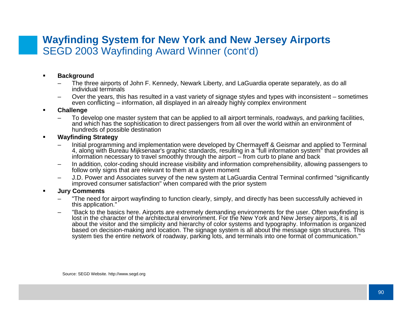### **Wayfinding System for New York and New Jersey Airports** SEGD 2003 Wayfinding Award Winner (cont'd)

#### n **Background**

- – The three airports of John F. Kennedy, Newark Liberty, and LaGuardia operate separately, as do all individual terminals
- Over the years, this has resulted in a vast variety of signage styles and types with inconsistent sometimes even conflicting – information, all displayed in an already highly complex environment

### **Challenge**

– To develop one master system that can be applied to all airport terminals, roadways, and parking facilities, and which has the sophistication to direct passengers from all over the world within an environment of hundreds of possible destination

### **Wayfinding Strategy**

- – Initial programming and implementation were developed by Chermayeff & Geismar and applied to Terminal 4, along with Bureau Mijksenaar's graphic standards, resulting in a "full information system" that provides all information necessary to travel smoothly through the airport – from curb to plane and back
- – In addition, color-coding should increase visibility and information comprehensibility, allowing passengers to follow only signs that are relevant to them at a given moment
- – J.D. Power and Associates survey of the new system at LaGuardia Central Terminal confirmed "significantly improved consumer satisfaction" when compared with the prior system

### **Jury Comments**

- – "The need for airport wayfinding to function clearly, simply, and directly has been successfully achieved in this application."
- – "Back to the basics here. Airports are extremely demanding environments for the user. Often wayfinding is lost in the character of the architectural environment. For the New York and New Jersey airports, it is all about the visitor and the simplicity and hierarchy of color systems and typography. Information is organized based on decision-making and location. The signage system is all about the message sign structures. This system ties the entire network of roadway, parking lots, and terminals into one format of communication."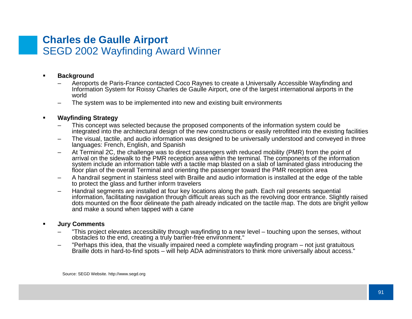### **Charles de Gaulle Airport** SEGD 2002 Wayfinding Award Winner

#### n **Background**

- – Aeroports de Paris-France contacted Coco Raynes to create a Universally Accessible Wayfinding and Information System for Roissy Charles de Gaulle Airport, one of the largest international airports in the world
- –The system was to be implemented into new and existing built environments

### **Wayfinding Strategy**

- – This concept was selected because the proposed components of the information system could be integrated into the architectural design of the new constructions or easily retrofitted into the existing facilities
- – The visual, tactile, and audio information was designed to be universally understood and conveyed in three languages: French, English, and Spanish
- – At Terminal 2C, the challenge was to direct passengers with reduced mobility (PMR) from the point of arrival on the sidewalk to the PMR reception area within the terminal. The components of the information system include an information table with a tactile map blasted on a slab of laminated glass introducing the floor plan of the overall Terminal and orienting the passenger toward the PMR reception area
- – A handrail segment in stainless steel with Braille and audio information is installed at the edge of the table to protect the glass and further inform travelers
- – Handrail segments are installed at four key locations along the path. Each rail presents sequential information, facilitating navigation through difficult areas such as the revolving door entrance. Slightly raised dots mounted on the floor delineate the path already indicated on the tactile map. The dots are bright yellow and make a sound when tapped with a cane

#### $\blacksquare$ **Jury Comments**

- – "This project elevates accessibility through wayfinding to a new level – touching upon the senses, without obstacles to the end, creating a truly barrier-free environment."
- – "Perhaps this idea, that the visually impaired need a complete wayfinding program – not just gratuitous Braille dots in hard-to-find spots – will help ADA administrators to think more universally about access."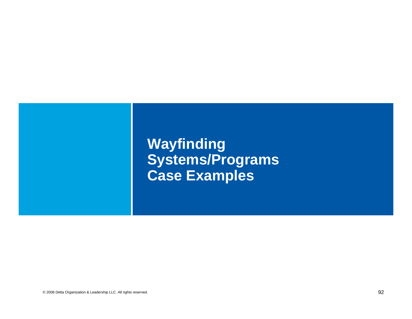# **Wayfinding Systems/Programs Case Examples**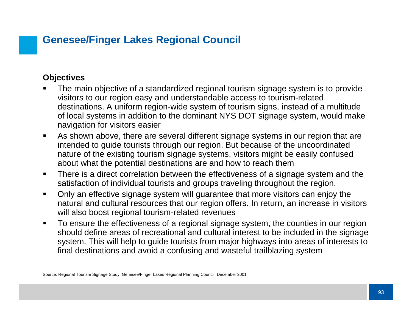## **Genesee/Finger Lakes Regional Council**

### **Objectives**

- Ш The main objective of a standardized regional tourism signage system is to provide visitors to our region easy and understandable access to tourism-related destinations. A uniform region-wide system of tourism signs, instead of a multitude of local systems in addition to the dominant NYS DOT signage system, would make navigation for visitors easier
- $\blacksquare$  As shown above, there are several different signage systems in our region that are intended to guide tourists through our region. But because of the uncoordinated nature of the existing tourism signage systems, visitors might be easily confused about what the potential destinations are and how to reach them
- $\blacksquare$  There is a direct correlation between the effectiveness of a signage system and the satisfaction of individual tourists and groups traveling throughout the region.
- $\blacksquare$  Only an effective signage system will guarantee that more visitors can enjoy the natural and cultural resources that our region offers. In return, an increase in visitors will also boost regional tourism-related revenues
- $\blacksquare$  To ensure the effectiveness of a regional signage system, the counties in our region should define areas of recreational and cultural interest to be included in the signage system. This will help to guide tourists from major highways into areas of interests to final destinations and avoid a confusing and wasteful trailblazing system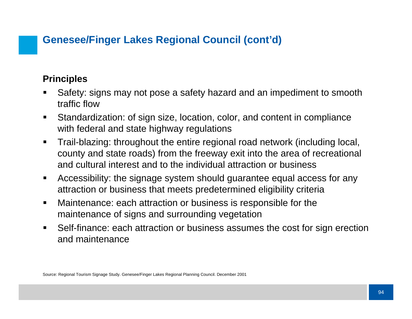## **Genesee/Finger Lakes Regional Council (cont'd)**

### **Principles**

- Safety: signs may not pose a safety hazard and an impediment to smooth traffic flow
- $\blacksquare$  Standardization: of sign size, location, color, and content in compliance with federal and state highway regulations
- $\blacksquare$  Trail-blazing: throughout the entire regional road network (including local, county and state roads) from the freeway exit into the area of recreational and cultural interest and to the individual attraction or business
- $\blacksquare$  Accessibility: the signage system should guarantee equal access for any attraction or business that meets predetermined eligibility criteria
- $\blacksquare$  Maintenance: each attraction or business is responsible for the maintenance of signs and surrounding vegetation
- $\blacksquare$  Self-finance: each attraction or business assumes the cost for sign erection and maintenance

Source: Regional Tourism Signage Study. Genesee/Finger Lakes Regional Planning Council. December 2001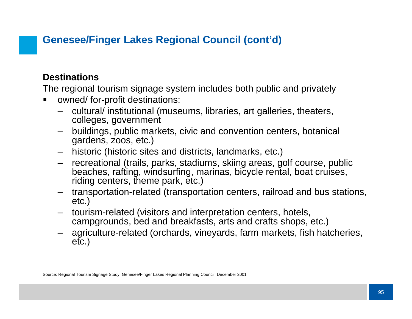## **Genesee/Finger Lakes Regional Council (cont'd)**

### **Destinations**

The regional tourism signage system includes both public and privately

- ▉ owned/ for-profit destinations:
	- cultural/ institutional (museums, libraries, art galleries, theaters, colleges, government
	- – buildings, public markets, civic and convention centers, botanical gardens, zoos, etc.)
	- historic (historic sites and districts, landmarks, etc.)
	- recreational (trails, parks, stadiums, skiing areas, golf course, public beaches, rafting, windsurfing, marinas, bicycle rental, boat cruises, riding centers, theme park, etc.)
	- transportation-related (transportation centers, railroad and bus stations, etc.)
	- tourism-related (visitors and interpretation centers, hotels, campgrounds, bed and breakfasts, arts and crafts shops, etc.)
	- agriculture-related (orchards, vineyards, farm markets, fish hatcheries, etc.)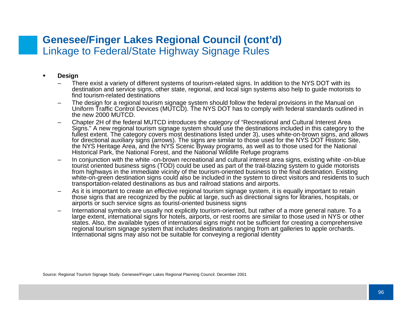### **Genesee/Finger Lakes Regional Council (cont'd)** Linkage to Federal/State Highway Signage Rules

- n **Design**
	- – There exist a variety of different systems of tourism-related signs. In addition to the NYS DOT with its destination and service signs, other state, regional, and local sign systems also help to guide motorists to find tourism-related destinations
	- – The design for a regional tourism signage system should follow the federal provisions in the Manual on Uniform Traffic Control Devices (MUTCD). The NYS DOT has to comply with federal standards outlined in the new 2000 MUTCD.
	- Chapter 2H of the federal MUTCD introduces the category of "Recreational and Cultural Interest Area<br>Signs." A new regional tourism signage system should use the destinations included in this category to the fullest extent. The category covers most destinations listed under 3), uses white-on-brown signs, and allows for directional auxiliary signs (arrows). The signs are similar to those used for the NYS DOT Historic Site, the NYS Heritage Area, and the NYS Scenic Byway programs, as well as to those used for the National Historical Park, the National Forest, and the National Wildlife Refuge programs
	- In conjunction with the white -on-brown recreational and cultural interest area signs, existing white -on-blue tourist oriented business signs (TOD) could be used as part of the trail-blazing system to guide motorists from highways in the immediate vicinity of the tourism-oriented business to the final destination. Existing white-on-green destination signs could also be included in the system to direct visitors and residents to such transportation-related destinations as bus and railroad stations and airports.
	- – As it is important to create an effective regional tourism signage system, it is equally important to retain those signs that are recognized by the public at large, such as directional signs for libraries, hospitals, or airports or such service signs as tourist-oriented business signs
	- – International symbols are usually not explicitly tourism-oriented, but rather of a more general nature. To a large extent, international signs for hotels, airports, or rest rooms are similar to those used in NYS or other states. Also, the available types of international signs might not be sufficient for creating a comprehensive regional tourism signage system that includes destinations ranging from art galleries to apple orchards. International signs may also not be suitable for conveying a regional identity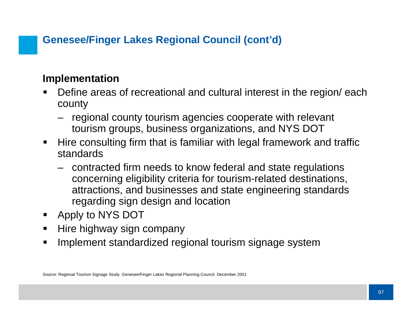## **Genesee/Finger Lakes Regional Council (cont'd)**

## **Implementation**

- П Define areas of recreational and cultural interest in the region/ each county
	- regional county tourism agencies cooperate with relevant tourism groups, business organizations, and NYS DOT
- $\blacksquare$  Hire consulting firm that is familiar with legal framework and traffic standards
	- contracted firm needs to know federal and state regulations concerning eligibility criteria for tourism-related destinations, attractions, and businesses and state engineering standards regarding sign design and location
- $\blacksquare$ Apply to NYS DOT
- П Hire highway sign company
- $\blacksquare$ Implement standardized regional tourism signage system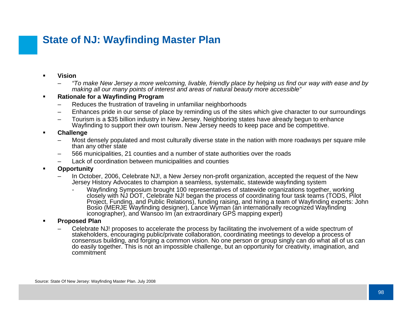## **State of NJ: Wayfinding Master Plan**

- n **Vision**
	- – *"To make New Jersey a more welcoming, livable, friendly place by helping us find our way with ease and by making all our many points of interest and areas of natural beauty more accessible"*
- n **Rationale for a Wayfinding Program**
	- Reduces the frustration of traveling in unfamiliar neighborhoods
	- –Enhances pride in our sense of place by reminding us of the sites which give character to our surroundings
	- – Tourism is a \$35 billion industry in New Jersey. Neighboring states have already begun to enhance Wayfinding to support their own tourism. New Jersey needs to keep pace and be competitive.
- n **Challenge**
	- – Most densely populated and most culturally diverse state in the nation with more roadways per square mile than any other state
	- –566 municipalities, 21 counties and a number of state authorities over the roads
	- Lack of coordination between municipalities and counties
- $\blacksquare$  **Opportunity**
	- – In October, 2006, Celebrate NJ!, a New Jersey non-profit organization, accepted the request of the New Jersey History Advocates to champion a seamless, systematic, statewide wayfinding system
		- - Wayfinding Symposium brought 100 representatives of statewide organizations together, working closely with NJ DOT, Celebrate NJ! began the process of coordinating four task teams (TODS, Pilot Project, Funding, and Public Relations), funding raising, and hiring a team of Wayfinding experts: John Bosio (MERJE Wayfinding designer), Lance Wyman (an internationally recognized Wayfinding iconographer), and Wansoo Im (an extraordinary GPS mapping expert)
- n **Proposed Plan**
	- – Celebrate NJ! proposes to accelerate the process by facilitating the involvement of a wide spectrum of stakeholders, encouraging public/private collaboration, coordinating meetings to develop a process of consensus building, and forging a common vision. No one person or group singly can do what all of us can do easily together. This is not an impossible challenge, but an opportunity for creativity, imagination, and commitment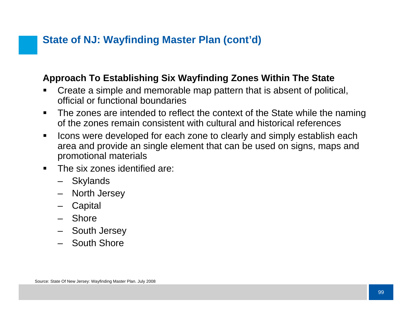### **Approach To Establishing Six Wayfinding Zones Within The State**

- ▉ Create a simple and memorable map pattern that is absent of political, official or functional boundaries
- $\blacksquare$  The zones are intended to reflect the context of the State while the naming of the zones remain consistent with cultural and historical references
- $\blacksquare$  Icons were developed for each zone to clearly and simply establish each area and provide an single element that can be used on signs, maps and promotional materials
- $\blacksquare$  The six zones identified are:
	- Skylands
	- –North Jersey
	- –**Capital**
	- Shore
	- South Jersey
	- South Shore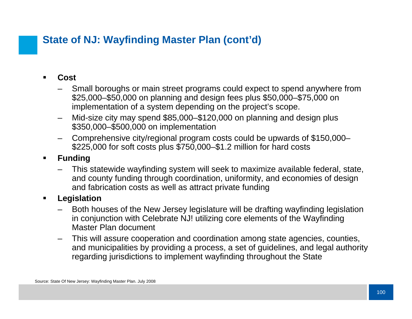- $\blacksquare$  **Cost**
	- Small boroughs or main street programs could expect to spend anywhere from \$25,000–\$50,000 on planning and design fees plus \$50,000–\$75,000 on implementation of a system depending on the project's scope.
	- – Mid-size city may spend \$85,000–\$120,000 on planning and design plus \$350,000–\$500,000 on implementation
	- – Comprehensive city/regional program costs could be upwards of \$150,000– \$225,000 for soft costs plus \$750,000–\$1.2 million for hard costs
- $\blacksquare$  **Funding**
	- – This statewide wayfinding system will seek to maximize available federal, state, and county funding through coordination, uniformity, and economies of design and fabrication costs as well as attract private funding
- $\blacksquare$  **Legislation**
	- – Both houses of the New Jersey legislature will be drafting wayfinding legislation in conjunction with Celebrate NJ! utilizing core elements of the Wayfinding Master Plan document
	- – This will assure cooperation and coordination among state agencies, counties, and municipalities by providing a process, a set of guidelines, and legal authority regarding jurisdictions to implement wayfinding throughout the State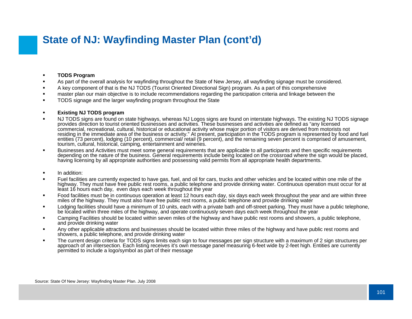#### $\blacksquare$ **TODS Program**

- $\blacksquare$ As part of the overall analysis for wayfinding throughout the State of New Jersey, all wayfinding signage must be considered.
- П A key component of that is the NJ TODS (Tourist Oriented Directional Sign) program. As a part of this comprehensive
- master plan our main objective is to include recommendations regarding the participation criteria and linkage between the
- $\blacksquare$ TODS signage and the larger wayfinding program throughout the State

#### $\blacksquare$ **Existing NJ TODS program**

- П NJ TODS signs are found on state highways, whereas NJ Logos signs are found on interstate highways. The existing NJ TODS signag eprovides direction to tourist oriented businesses and activities. These businesses and activities are defined as "any licensed commercial, recreational, cultural, historical or educational activity whose major portion of visitors are derived from motorists not residing in the immediate area of the business or activity." At present, participation in the TODS program is represented by food and fuel entities (73 percent), lodging (10 percent), commercial/ retail (9 percent), and the remaining seven percent is comprised of amusement, tourism, cultural, historical, camping, entertainment and wineries.
- $\blacksquare$  Businesses and Activities must meet some general requirements that are applicable to all participants and then specific requirements depending on the nature of the business. General requirements include being located on the crossroad where the sign would be placed, having licensing by all appropriate authorities and possessing valid permits from all appropriate health departments.
- $\blacksquare$ In addition:
- П Fuel facilities are currently expected to have gas, fuel, and oil for cars, trucks and other vehicles and be located within one mile of the highway. They must have free public rest rooms, a public telephone and provide drinking water. Continuous operation must occur for at least 16 hours each day, even days each week throughout the year
- $\blacksquare$  Food facilities must be in continuous operation at least 12 hours each day, six days each week throughout the year and are within three miles of the highway. They must also have free public rest rooms, a public telephone and provide drinking water
- $\blacksquare$ Lodging facilities should have a minimum of 10 units, each with a private bath and off-street parking. They must have a public telephone, be located within three miles of the highway, and operate continuously seven days each week throughout the year
- $\blacksquare$  Camping Facilities should be located within seven miles of the highway and have public rest rooms and showers, a public telephone, and provide drinking water
- $\blacksquare$  Any other applicable attractions and businesses should be located within three miles of the highway and have public rest rooms and showers, a public telephone, and provide drinking water
- ٠ The current design criteria for TODS signs limits each sign to four messages per sign structure with a maximum of 2 sign structures per approach of an intersection. Each listing receives it's own message panel measuring 6-feet wide by 2-feet high. Entities are currently permitted to include a logo/symbol as part of their message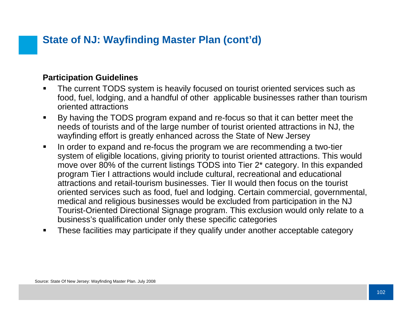### **Participation Guidelines**

- Ш The current TODS system is heavily focused on tourist oriented services such as food, fuel, lodging, and a handful of other applicable businesses rather than tourism oriented attractions
- $\blacksquare$  By having the TODS program expand and re-focus so that it can better meet the needs of tourists and of the large number of tourist oriented attractions in NJ, the wayfinding effort is greatly enhanced across the State of New Jersey
- $\blacksquare$  In order to expand and re-focus the program we are recommending a two-tier system of eligible locations, giving priority to tourist oriented attractions. This would move over 80% of the current listings TODS into Tier 2\* category. In this expanded program Tier I attractions would include cultural, recreational and educational attractions and retail-tourism businesses. Tier II would then focus on the tourist oriented services such as food, fuel and lodging. Certain commercial, governmental, medical and religious businesses would be excluded from participation in the NJ Tourist-Oriented Directional Signage program. This exclusion would only relate to a business's qualification under only these specific categories
- п These facilities may participate if they qualify under another acceptable category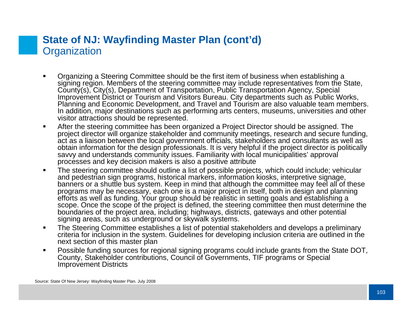### **State of NJ: Wayfinding Master Plan (cont'd) Organization**

- Organizing a Steering Committee should be the first item of business when establishing a signing region. Members of the steering committee may include representatives from the State, County(s), City(s), Department of Transportation, Public Transportation Agency, Special Improvement District or Tourism and Visitors Bureau. City departments such as Public Works, Planning and Economic Development, and Travel and Tourism are also valuable team members. In addition, major destinations such as performing arts centers, museums, universities and other visitor attractions should be represented.
- $\blacksquare$  After the steering committee has been organized a Project Director should be assigned. The project director will organize stakeholder and community meetings, research and secure funding, act as a liaison between the local government officials, stakeholders and consultants as well as obtain information for the design professionals. It is very helpful if the project director is politically savvy and understands community issues. Familiarity with local municipalities' approval processes and key decision makers is also a positive attribute
- $\blacksquare$  The steering committee should outline a list of possible projects, which could include; vehicular and pedestrian sign programs, historical markers, information kiosks, interpretive signage. banners or a shuttle bus system. Keep in mind that although the committee may feel all of these programs may be necessary, each one is a major project in itself, both in design and planning efforts as well as funding. Your group should be realistic in setting goals and establishing a scope. Once the scope of the project is defined, the steering committee then must determine the boundaries of the project area, including; highways, districts, gateways and other potential signing areas, such as underground or skywalk systems.
- $\blacksquare$  The Steering Committee establishes a list of potential stakeholders and develops a preliminary criteria for inclusion in the system. Guidelines for developing inclusion criteria are outlined in the next section of this master plan
- $\blacksquare$  Possible funding sources for regional signing programs could include grants from the State DOT, County, Stakeholder contributions, Council of Governments, TIF programs or Special Improvement Districts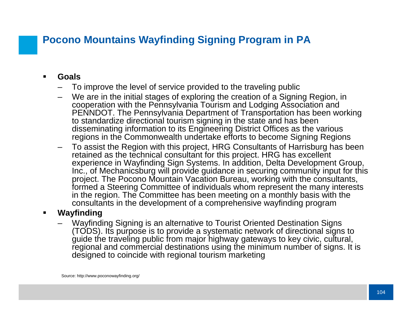## **Pocono Mountains Wayfinding Signing Program in PA**

- $\blacksquare$  **Goals**
	- –To improve the level of service provided to the traveling public
	- We are in the initial stages of exploring the creation of a Signing Region, in cooperation with the Pennsylvania Tourism and Lodging Association and PENNDOT. The Pennsylvania Department of Transportation has been working to standardize directional tourism signing in the state and has been disseminating information to its Engineering District Offices as the various regions in the Commonwealth undertake efforts to become Signing Regions
	- – To assist the Region with this project, HRG Consultants of Harrisburg has been retained as the technical consultant for this project. HRG has excellent experience in Wayfinding Sign Systems. In addition, Delta Development Group, Inc., of Mechanicsburg will provide guidance in securing community input for this project. The Pocono Mountain Vacation Bureau, working with the consultants, formed a Steering Committee of individuals whom represent the many interests in the region. The Committee has been meeting on a monthly basis with the consultants in the development of a comprehensive wayfinding program

### $\blacksquare$ **Wayfinding**

– Wayfinding Signing is an alternative to Tourist Oriented Destination Signs (TODS). Its purpose is to provide a systematic network of directional signs to guide the traveling public from major highway gateways to key civic, cultural, regional and commercial destinations using the minimum number of signs. It is designed to coincide with regional tourism marketing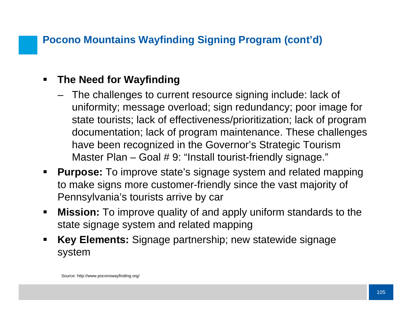## **Pocono Mountains Wayfinding Signing Program (cont'd)**

### $\blacksquare$ **The Need for Wayfinding**

- The challenges to current resource signing include: lack of uniformity; message overload; sign redundancy; poor image for state tourists; lack of effectiveness/prioritization; lack of program documentation; lack of program maintenance. These challenges have been recognized in the Governor's Strategic Tourism Master Plan – Goal # 9: "Install tourist-friendly signage."
- $\blacksquare$  **Purpose:** To improve state's signage system and related mapping to make signs more customer-friendly since the vast majority of Pennsylvania's tourists arrive by car
- $\blacksquare$  **Mission:** To improve quality of and apply uniform standards to the state signage system and related mapping
- $\blacksquare$  **Key Elements:** Signage partnership; new statewide signage system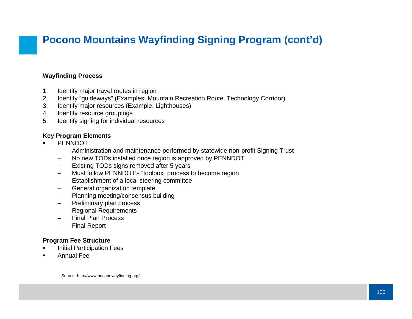# **Pocono Mountains Wayfinding Signing Program (cont'd)**

### **Wayfinding Proces s**

- 1. Identify major travel routes in region
- 2. Identify "guideways" (Examples: Mountain Recreation Route, Technology Corridor)
- 3. Identify major resources (Example: Lighthouses)
- 4. Identify resource groupings
- 5. Identify signing for individual resources

### **Key Program Elements**

- n **PENNDOT** 
	- Administration and maintenance performed by statewide non-profit Signing Trust
	- –No new TODs installed once region is approved by PENNDOT
	- –Existing TODs signs removed after 5 years
	- –Must follow PENNDOT's "toolbox" process to become region
	- –Establishment of a local steering committee
	- –General organization template
	- –Planning meeting/consensus building
	- –Preliminary plan process
	- –Regional Requirements
	- –Final Plan Process
	- Final Report

#### **Program Fee Structure**

- Initial Participation Fees
- Annual Fee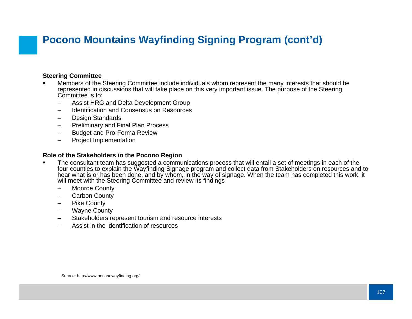# **Pocono Mountains Wayfinding Signing Program (cont'd)**

#### **Steering Committee**

- n Members of the Steering Committee include individuals whom represent the many interests that should be represented in discussions that will take place on this very important issue. The purpose of the Steering Committee is to:
	- –Assist HRG and Delta Development Group
	- –Identification and Consensus on Resources
	- –Design Standards
	- –Preliminary and Final Plan Process
	- –Budget and Pro-Forma Review
	- –Project Implementation

### **Role of the Stakeholders in the Pocono Region**

- n The consultant team has suggested a communications process that will entail a set of meetings in each of the four counties to explain the Wayfinding Signage program and collect data from Stakeholders on resources and to hear what is or has been done, and by whom, in the way of signage. When the team has completed this work, it will meet with the Steering Committee and review its findings
	- Monroe County
	- $\equiv$ Carbon County
	- –Pike County
	- –Wayne County
	- –Stakeholders represent tourism and resource interests
	- Assist in the identification of resources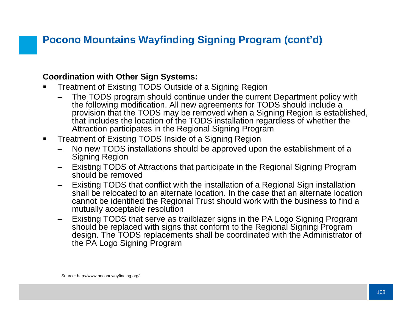# **Pocono Mountains Wayfinding Signing Program (cont'd)**

### **Coordination with Other Sign Systems:**

- Treatment of Existing TODS Outside of a Signing Region
	- The TODS program should continue under the current Department policy with the following modification. All new agreements for TODS should include a provision that the TODS may be removed when a Signing Region is established, that includes the location of the TODS installation regardless of whether the Attraction participates in the Regional Signing Program
- $\blacksquare$  Treatment of Existing TODS Inside of a Signing Region
	- – No new TODS installations should be approved upon the establishment of a Signing Region
	- Existing TODS of Attractions that participate in the Regional Signing Program should be removed
	- Existing TODS that conflict with the installation of a Regional Sign installation shall be relocated to an alternate location. In the case that an alternate location cannot be identified the Regional Trust should work with the business to find a mutually acceptable resolution
	- Existing TODS that serve as trailblazer signs in the PA Logo Signing Program should be replaced with signs that conform to the Regional Signing Program design. The TODS replacements shall be coordinated with the Administrator of the PA Logo Signing Program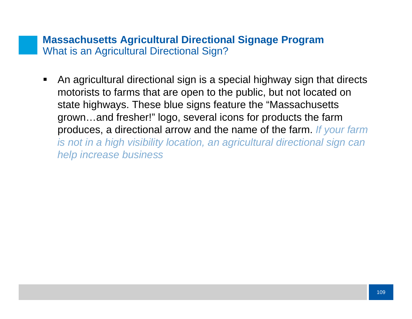### **Massachusetts Agricultural Directional Signage Program** What is an Agricultural Directional Sign?

 $\blacksquare$  An agricultural directional sign is a special highway sign that directs motorists to farms that are open to the public, but not located on state highways. These blue signs feature the "Massachusetts grown…and fresher!" logo, several icons for products the farm produces, a directional arrow and the name of the farm. *If your farm is not in a high visibility location, an agricultural directional sign can help increase business*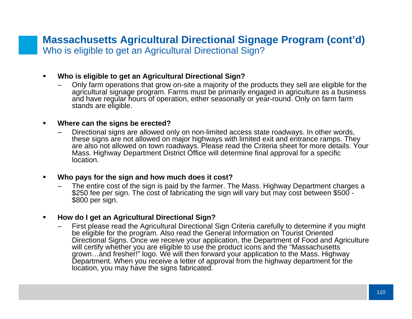### **Massachusetts Agricultural Directional Signage Program (cont'd)** Who is eligible to get an Agricultural Directional Sign?

#### $\blacksquare$ **Who is eligible to get an Agricultural Directional Sign?**

– Only farm operations that grow on-site a majority of the products they sell are eligible for the agricultural signage program. Farms must be primarily engaged in agriculture as a business and have regular hours of operation, either seasonally or year-round. Only on farm farm stands are eligible.

#### ■ **Where can the signs be erected?**

 Directional signs are allowed only on non-limited access state roadways. In other words, these signs are not allowed on major highways with limited exit and entrance ramps. They are also not allowed on town roadways. Please read the Criteria sheet for more details. Your Mass. Highway Department District Office will determine final approval for a specific location.

### **Who pays for the sign and how much does it cost?**

–The entire cost of the sign is paid by the farmer. The Mass. Highway Department charges a \$250 fee per sign. The cost of fabricating the sign will vary but may cost between \$500 - \$800 per sign.

### **How do I get an Agricultural Directional Sign?**

 First please read the Agricultural Directional Sign Criteria carefully to determine if you might be eligible for the program. Also read the General Information on Tourist Oriented Directional Signs. Once we receive your application, the Department of Food and Agriculture will certify whether you are eligible to use the product icons and the "Massachusetts" grown…and fresher!" logo. We will then forward your application to the Mass. Highway Department. When you receive a letter of approval from the highway department for the location, you may have the signs fabricated.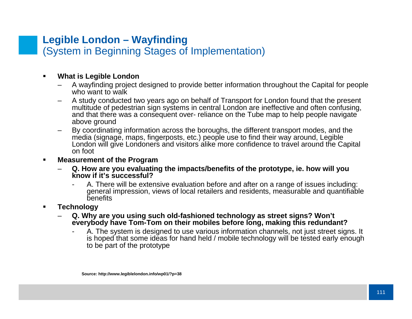### **Legible London – Wayfinding** (System in Beginning Stages of Implementation)

#### $\blacksquare$ **What is Legible London**

- – A wayfinding project designed to provide better information throughout the Capital for people who want to walk
- – A study conducted two years ago on behalf of Transport for London found that the present multitude of pedestrian sign systems in central London are ineffective and often confusing, and that there was a consequent over- reliance on the Tube map to help people navigate above ground
- – By coordinating information across the boroughs, the different transport modes, and the media (signage, maps, fingerposts, etc.) people use to find their way around, Legible London will give Londoners and visitors alike more confidence to travel around the Capital on foot
- $\blacksquare$  **Measurement of the Program**
	- **Q. How are you evaluating the impacts/benefits of the prototype, ie. how will you know if it's successful?** 
		- - A. There will be extensive evaluation before and after on a range of issues including: general impression, views of local retailers and residents, measurable and quantifiable benefits
- **Technology** 
	- – **Q. Why are you using such old-fashioned technology as street signs? Won't**  everybody have Tom-Tom on their mobiles before long, making this redundant?
		- - A. The system is designed to use various information channels, not just street signs. It is hoped that some ideas for hand held / mobile technology will be tested early enough to be part of the prototype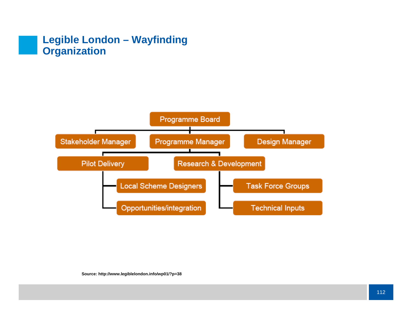### **Legible London – Wayfinding Organization**

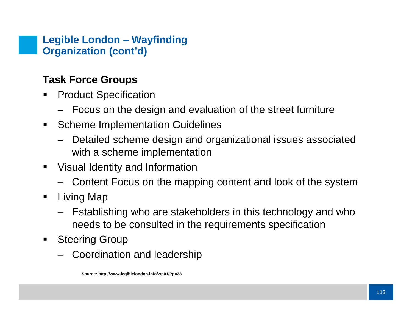## **Legible London – Wayfinding Organization (cont'd)**

# **Task Force Groups**

- $\blacksquare$  Product Specification
	- Focus on the design and evaluation of the street furniture
- $\blacksquare$  Scheme Implementation Guidelines
	- Detailed scheme design and organizational issues associated with a scheme implementation
- Visual Identity and Information
	- Content Focus on the mapping content and look of the system
- $\blacksquare$  Living Map
	- Establishing who are stakeholders in this technology and who needs to be consulted in the requirements specification
- $\blacksquare$  Steering Group
	- Coordination and leadership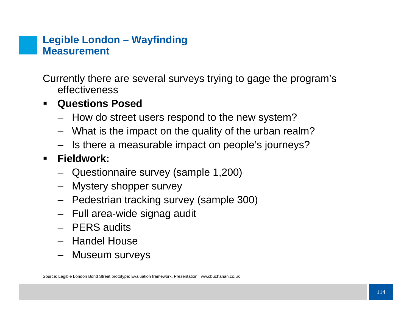### **Legible London – Wayfinding Measurement**

Currently there are several surveys trying to gage the program's effectiveness

# **Questions Posed**

- How do street users respond to the new system?
- What is the impact on the quality of the urban realm?
- Is there a measurable impact on people's journeys?

#### $\blacksquare$ **Fieldwork:**

- Questionnaire survey (sample 1,200)
- Mystery shopper survey
- Pedestrian tracking survey (sample 300)
- Full area-wide signag audit
- PERS audits
- Handel House
- Museum surveys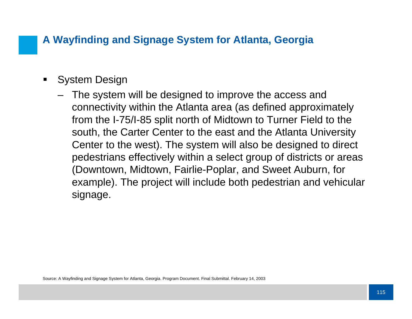# **A Wayfinding and Signage System for Atlanta, Georgia**

- $\blacksquare$  System Design
	- The system will be designed to improve the access and connectivity within the Atlanta area (as defined approximately from the I-75/I-85 split north of Midtown to Turner Field to the south, the Carter Center to the east and the Atlanta University Center to the west). The system will also be designed to direct pedestrians effectively within a select group of districts or areas (Downtown, Midtown, Fairlie-Poplar, and Sweet Auburn, for example). The project will include both pedestrian and vehicular signage.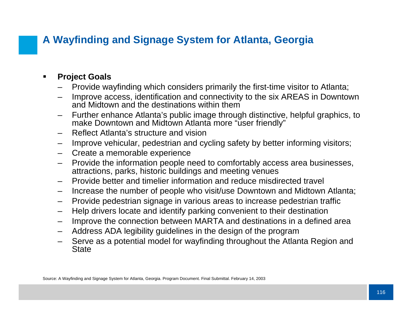# **A Wayfinding and Signage System for Atlanta, Georgia**

#### $\blacksquare$ **Project Goals**

- –Provide wayfinding which considers primarily the first-time visitor to Atlanta;
- Improve access, identification and connectivity to the six AREAS in Downtown and Midtown and the destinations within them
- – Further enhance Atlanta's public image through distinctive, helpful graphics, to make Downtown and Midtown Atlanta more "user friendly"
- –Reflect Atlanta's structure and vision
- –Improve vehicular, pedestrian and cycling safety by better informing visitors;
- Create a memorable experience
- – Provide the information people need to comfortably access area businesses, attractions, parks, historic buildings and meeting venues
- –Provide better and timelier information and reduce misdirected travel
- –Increase the number of people who visit/use Downtown and Midtown Atlanta;
- –Provide pedestrian signage in various areas to increase pedestrian traffic
- –Help drivers locate and identify parking convenient to their destination
- Improve the connection between MARTA and destinations in a defined area
- –Address ADA legibility guidelines in the design of the program
- Serve as a potential model for wayfinding throughout the Atlanta Region and **State**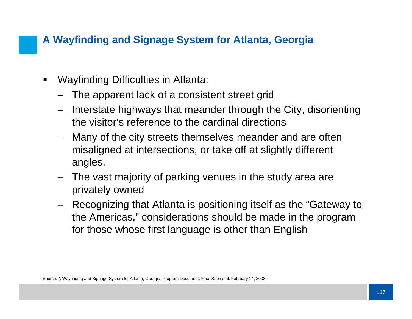# **A Wayfinding and Signage System for Atlanta, Georgia**

- $\blacksquare$  Wayfinding Difficulties in Atlanta:
	- The apparent lack of a consistent street grid
	- Interstate highways that meander through the City, disorienting the visitor's reference to the cardinal directions
	- Many of the city streets themselves meander and are often misaligned at intersections, or take off at slightly different angles.
	- The vast majority of parking venues in the study area are privately owned
	- Recognizing that Atlanta is positioning itself as the "Gateway to the Americas," considerations should be made in the program for those whose first language is other than English

Source: A Wayfinding and Signage System for Atlanta, Georgia. Program Document. Final Submittal. February 14, 2003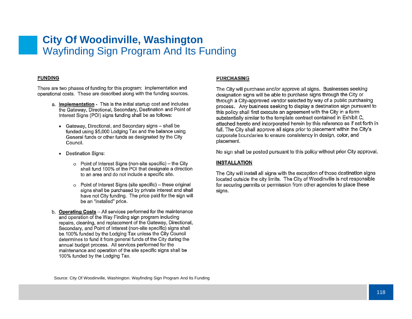### **City Of Woodinville, Washington** Wayfinding Sign Program And Its Funding

#### **FUNDING**

There are two phases of funding for this program: implementation and operational costs. These are described along with the funding sources.

- a. Implementation This is the initial startup cost and includes the Gateway, Directional, Secondary, Destination and Point of Interest Signs (POI) signs funding shall be as follows:
	- Gateway, Directional, and Secondary signs shall be funded using \$5,000 Lodging Tax and the balance using General funds or other funds as designated by the City Council.
	- Destination Signs:
		- o Point of Interest Signs (non-site specific) the City shall fund 100% of the POI that designate a direction to an area and do not include a specific site.
		- o Point of Interest Signs (site specific) these original signs shall be purchased by private interest and shall have not City funding. The price paid for the sign will be an "installed" price.
- b. Operating Costs All services performed for the maintenance and operation of the Way Finding sign program including repairs, cleaning, and replacement of the Gateway, Directional, Secondary, and Point of Interest (non-site specific) signs shall be 100% funded by the Lodging Tax unless the City Council determines to fund it from general funds of the City during the annual budget process. All services performed for the maintenance and operation of the site specific signs shall be 100% funded by the Lodging Tax.

#### **PURCHASING**

The City will purchase and/or approve all signs. Businesses seeking designation signs will be able to purchase signs through the City or through a City-approved vendor selected by way of a public purchasing process. Any business seeking to display a destination sign pursuant to this policy shall first execute an agreement with the City in a form substantially similar to the template contract contained in Exhibit C, attached hereto and incorporated herein by this reference as if set forth in full. The City shall approve all signs prior to placement within the City's corporate boundaries to ensure consistency in design, color, and placement.

No sign shall be posted pursuant to this policy without prior City approval.

#### **INSTALLATION**

The City will install all signs with the exception of those destination signs located outside the city limits. The City of Woodinville is not responsible for securing permits or permission from other agencies to place these sians.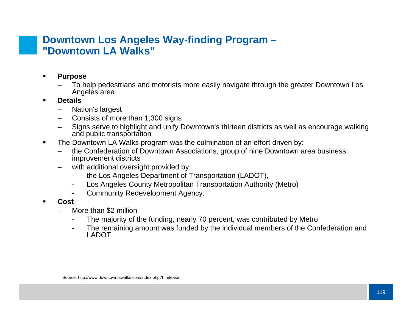### **Downtown Los Angeles Way-finding Program – "Downtown LA Walks"**

- $\blacksquare$  **Purpose**
	- – To help pedestrians and motorists more easily navigate through the greater Downtown Los Angeles area
- $\blacksquare$  **Details**
	- Nation's largest
	- –Consists of more than 1,300 signs
	- – Signs serve to highlight and unify Downtown's thirteen districts as well as encourage walking and public transportation
- $\blacksquare$  The Downtown LA Walks program was the culmination of an effort driven by:
	- – the Confederation of Downtown Associations, group of nine Downtown area business improvement districts
	- –with additional oversight provided by:
		- the Los Angeles Department of Transportation (LADOT),
		- -Los Angeles County Metropolitan Transportation Authority (Metro)
		- -Community Redevelopment Agency.
- **Cost**
	- More than \$2 million
		- -The majority of the funding, nearly 70 percent, was contributed by Metro
		- - The remaining amount was funded by the individual members of the Confederation and LADOT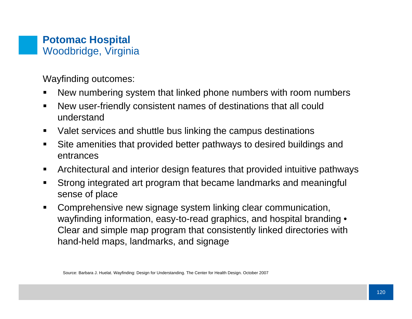### **Potomac Hospital** Woodbridge, Virginia

Wayfinding outcomes:

- New numbering system that linked phone numbers with room numbers
- $\blacksquare$  New user-friendly consistent names of destinations that all could understand
- $\blacksquare$ Valet services and shuttle bus linking the campus destinations
- ▉ Site amenities that provided better pathways to desired buildings and entrances
- $\blacksquare$ Architectural and interior design features that provided intuitive pathways
- $\blacksquare$  Strong integrated art program that became landmarks and meaningful sense of place
- $\blacksquare$  Comprehensive new signage system linking clear communication, wayfinding information, easy-to-read graphics, and hospital branding • Clear and simple map program that consistently linked directories with hand-held maps, landmarks, and signage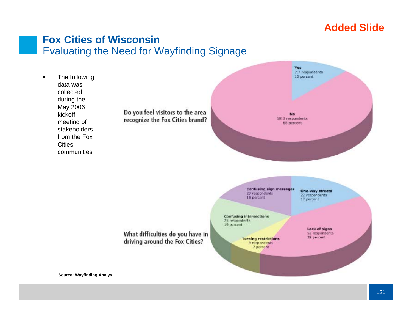# **Added Slide**

### **Fox Cities of Wisconsin**Evaluating the Need for Wayfinding Signage



Do you feel visitors to the area recognize the Fox Cities brand?



Confusing sign messages 23 respondents 18 percent

One-way streets 22 respondents 17 percent

**Confusing intersections** 25 respondents 19 percent

> **Turning restrictions** 9 respondents 7 percent

Lack of signs 52 respondents 39 percent

What difficulties do you have in driving around the Fox Cities?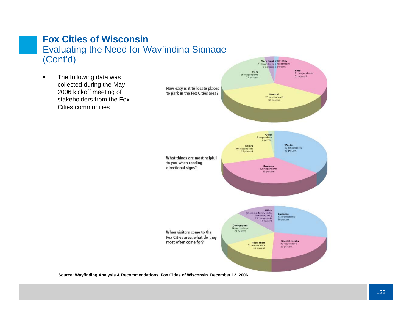### **Fox Cities of Wisconsin**Evaluating the Need for Wayfinding Signage (Cont'd)

 $\blacksquare$  The following data was collected during the May 2006 kickoff meeting of stakeholders from the Fox Cities communities



**Source: Wayfinding Analysis & Recommendations. Fox Cities of Wisconsin. December 12, 2006**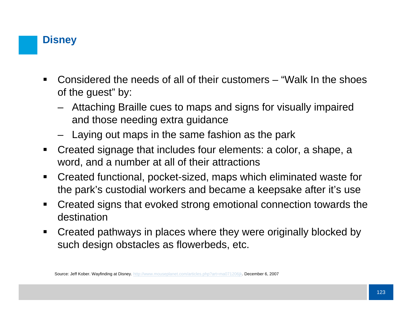# **Disney**

- $\blacksquare$  Considered the needs of all of their customers – "Walk In the shoes of the guest" by:
	- Attaching Braille cues to maps and signs for visually impaired and those needing extra guidance
	- Laying out maps in the same fashion as the park
- $\blacksquare$  Created signage that includes four elements: a color, a shape, a word, and a number at all of their attractions
- $\blacksquare$  Created functional, pocket-sized, maps which eliminated waste for the park's custodial workers and became a keepsake after it's use
- $\blacksquare$  Created signs that evoked strong emotional connection towards the destination
- $\blacksquare$  Created pathways in places where they were originally blocked by such design obstacles as flowerbeds, etc.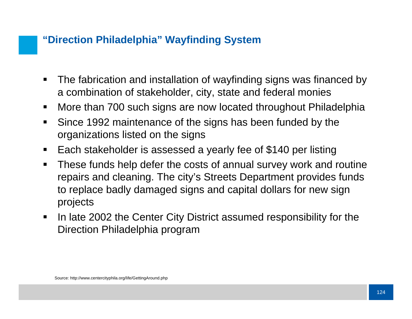## **"Direction Philadelphia" Wayfinding System**

- $\blacksquare$  The fabrication and installation of wayfinding signs was financed by a combination of stakeholder, city, state and federal monies
- $\blacksquare$ More than 700 such signs are now located throughout Philadelphia
- $\blacksquare$  Since 1992 maintenance of the signs has been funded by the organizations listed on the signs
- $\blacksquare$ Each stakeholder is assessed a yearly fee of \$140 per listing
- $\blacksquare$  These funds help defer the costs of annual survey work and routine repairs and cleaning. The city's Streets Department provides funds to replace badly damaged signs and capital dollars for new sign projects
- $\blacksquare$  In late 2002 the Center City District assumed responsibility for the Direction Philadelphia program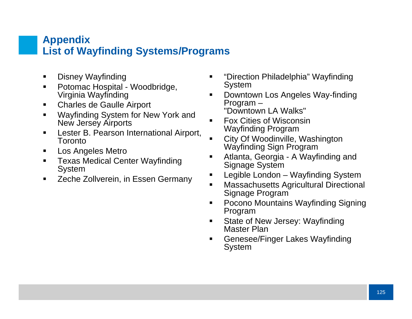### **Appendix List of Wayfinding Systems/Programs**

- $\blacksquare$ Disney Wayfinding
- $\blacksquare$  Potomac Hospital - Woodbridge, Virginia Wayfinding
- $\blacksquare$ Charles de Gaulle Airport
- $\blacksquare$  Wayfinding System for New York and New Jersey Airports
- $\blacksquare$  Lester B. Pearson International Airport, **Toronto**
- $\blacksquare$ Los Angeles Metro
- $\blacksquare$  Texas Medical Center Wayfinding System
- $\blacksquare$ Zeche Zollverein, in Essen Germany
- $\blacksquare$  "Direction Philadelphia" Wayfinding System
- $\blacksquare$  Downtown Los Angeles Way-finding Program – "Downtown LA Walks"
- $\blacksquare$  Fox Cities of WisconsinWayfinding Program
- $\blacksquare$  City Of Woodinville, Washington Wayfinding Sign Program
- $\blacksquare$  Atlanta, Georgia - A Wayfinding and Signage System
- $\blacksquare$ Legible London – Wayfinding System
- $\blacksquare$  Massachusetts Agricultural Directional Signage Program
- $\blacksquare$  Pocono Mountains Wayfinding Signing Program
- $\blacksquare$  State of New Jersey: Wayfinding Master Plan
- $\blacksquare$  Genesee/Finger Lakes Wayfinding System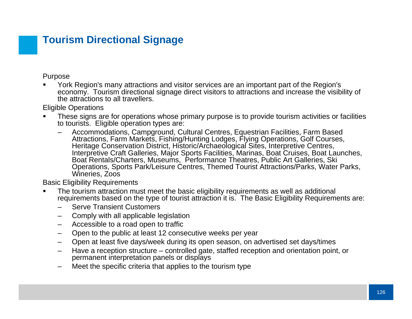# **Tourism Directional Signage**

Purpose

■ York Region's many attractions and visitor services are an important part of the Region's economy. Tourism directional signage direct visitors to attractions and increase the visibility of the attractions to all travellers.

Eligible Operations

- П These signs are for operations whose primary purpose is to provide tourism activities or facilities to tourists. Eligible operation types are:
	- Accommodations, Campground, Cultural Centres, Equestrian Facilities, Farm Based Attractions, Farm Markets, Fishing/Hunting Lodges, Flying Operations, Golf Courses, Heritage Conservation District, Historic/Archaeological Sites, Interpretive Centres, Interpretive Craft Galleries, Major Sports Facilities, Marinas, Boat Cruises, Boat Launches, Boat Rentals/Charters, Museums, Performance Theatres, Public Art Galleries, Ski Operations, Sports Park/Leisure Centres, Themed Tourist Attractions/Parks, Water Parks, Wineries, Zoos

Basic Eligibility Requirements

- The tourism attraction must meet the basic eligibility requirements as well as additional requirements based on the type of tourist attraction it is. The Basic Eligibility Requirements are:
	- Serve Transient Customers
	- –Comply with all applicable legislation
	- –Accessible to a road open to traffic
	- –Open to the public at least 12 consecutive weeks per year
	- –Open at least five days/week during its open season, on advertised set days/times
	- Have a reception structure controlled gate, staffed reception and orientation point, or permanent interpretation panels or displays
	- Meet the specific criteria that applies to the tourism type